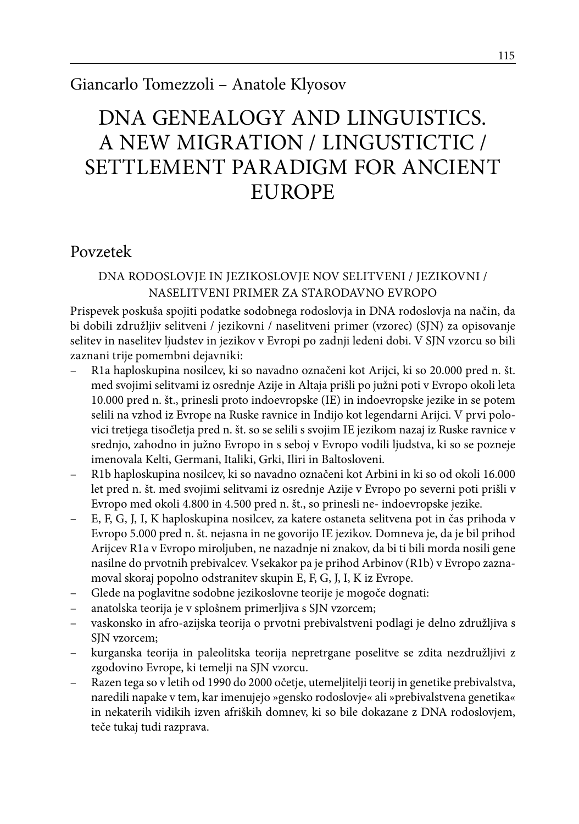### Giancarlo Tomezzoli – Anatole Klyosov

# DNA GENEALOGY AND LINGUISTICS. A NEW MIGRATION / LINGUSTICTIC / SETTLEMENT PARADIGM FOR ANCIENT EUROPE

### Povzetek

#### DNA RODOSLOVJE IN JEZIKOSLOVJE NOV SELITVENI / JEZIKOVNI / NASELITVENI PRIMER ZA STARODAVNO EVROPO

Prispevek poskuša spojiti podatke sodobnega rodoslovja in DNA rodoslovja na način, da bi dobili združljiv selitveni / jezikovni / naselitveni primer (vzorec) (SJN) za opisovanje selitev in naselitev ljudstev in jezikov v Evropi po zadnji ledeni dobi. V SJN vzorcu so bili zaznani trije pomembni dejavniki:

- R1a haploskupina nosilcev, ki so navadno označeni kot Arijci, ki so 20.000 pred n. št. med svojimi selitvami iz osrednje Azije in Altaja prišli po južni poti v Evropo okoli leta 10.000 pred n. št., prinesli proto indoevropske (IE) in indoevropske jezike in se potem selili na vzhod iz Evrope na Ruske ravnice in Indijo kot legendarni Arijci. V prvi polovici tretjega tisočletja pred n. št. so se selili s svojim IE jezikom nazaj iz Ruske ravnice v srednjo, zahodno in južno Evropo in s seboj v Evropo vodili ljudstva, ki so se pozneje imenovala Kelti, Germani, Italiki, Grki, Iliri in Baltosloveni.
- R1b haploskupina nosilcev, ki so navadno označeni kot Arbini in ki so od okoli 16.000 let pred n. št. med svojimi selitvami iz osrednje Azije v Evropo po severni poti prišli v Evropo med okoli 4.800 in 4.500 pred n. št., so prinesli ne- indoevropske jezike.
- E, F, G, J, I, K haploskupina nosilcev, za katere ostaneta selitvena pot in čas prihoda v Evropo 5.000 pred n. št. nejasna in ne govorijo IE jezikov. Domneva je, da je bil prihod Arijcev R1a v Evropo miroljuben, ne nazadnje ni znakov, da bi ti bili morda nosili gene nasilne do prvotnih prebivalcev. Vsekakor pa je prihod Arbinov (R1b) v Evropo zaznamoval skoraj popolno odstranitev skupin E, F, G, J, I, K iz Evrope.
- Glede na poglavitne sodobne jezikoslovne teorije je mogoče dognati:
- anatolska teorija je v splošnem primerljiva s SJN vzorcem;
- vaskonsko in afro-azijska teorija o prvotni prebivalstveni podlagi je delno združljiva s SJN vzorcem;
- kurganska teorija in paleolitska teorija nepretrgane poselitve se zdita nezdružljivi z zgodovino Evrope, ki temelji na SJN vzorcu.
- Razen tega so v letih od 1990 do 2000 očetje, utemeljitelji teorij in genetike prebivalstva, naredili napake v tem, kar imenujejo »gensko rodoslovje« ali »prebivalstvena genetika« in nekaterih vidikih izven afriških domnev, ki so bile dokazane z DNA rodoslovjem, teče tukaj tudi razprava.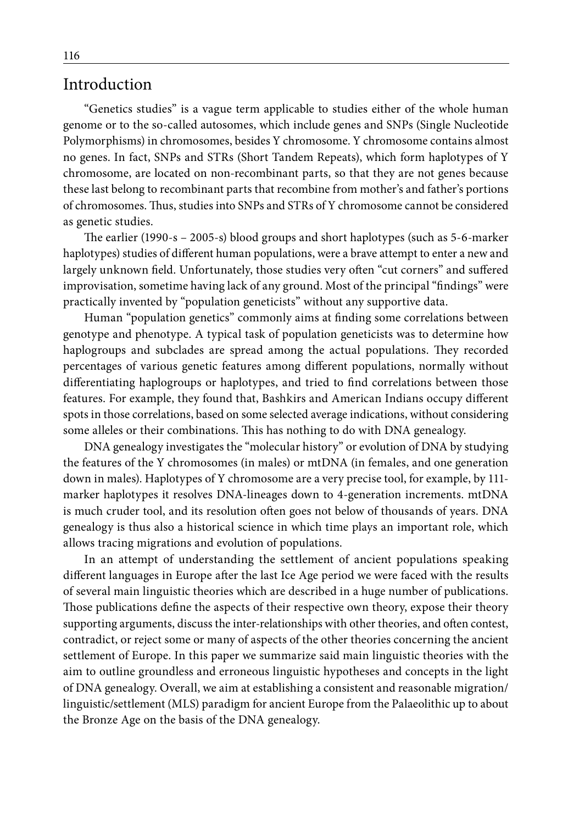#### Introduction

"Genetics studies" is a vague term applicable to studies either of the whole human genome or to the so-called autosomes, which include genes and SNPs (Single Nucleotide Polymorphisms) in chromosomes, besides Y chromosome. Y chromosome contains almost no genes. In fact, SNPs and STRs (Short Tandem Repeats), which form haplotypes of Y chromosome, are located on non-recombinant parts, so that they are not genes because these last belong to recombinant parts that recombine from mother's and father's portions of chromosomes. Thus, studies into SNPs and STRs of Y chromosome cannot be considered as genetic studies.

The earlier (1990-s – 2005-s) blood groups and short haplotypes (such as 5-6-marker haplotypes) studies of different human populations, were a brave attempt to enter a new and largely unknown field. Unfortunately, those studies very often "cut corners" and suffered improvisation, sometime having lack of any ground. Most of the principal "findings" were practically invented by "population geneticists" without any supportive data.

Human "population genetics" commonly aims at finding some correlations between genotype and phenotype. A typical task of population geneticists was to determine how haplogroups and subclades are spread among the actual populations. They recorded percentages of various genetic features among different populations, normally without differentiating haplogroups or haplotypes, and tried to find correlations between those features. For example, they found that, Bashkirs and American Indians occupy different spots in those correlations, based on some selected average indications, without considering some alleles or their combinations. This has nothing to do with DNA genealogy.

DNA genealogy investigates the "molecular history" or evolution of DNA by studying the features of the Y chromosomes (in males) or mtDNA (in females, and one generation down in males). Haplotypes of Y chromosome are a very precise tool, for example, by 111 marker haplotypes it resolves DNA-lineages down to 4-generation increments. mtDNA is much cruder tool, and its resolution often goes not below of thousands of years. DNA genealogy is thus also a historical science in which time plays an important role, which allows tracing migrations and evolution of populations.

In an attempt of understanding the settlement of ancient populations speaking different languages in Europe after the last Ice Age period we were faced with the results of several main linguistic theories which are described in a huge number of publications. Those publications define the aspects of their respective own theory, expose their theory supporting arguments, discuss the inter-relationships with other theories, and often contest, contradict, or reject some or many of aspects of the other theories concerning the ancient settlement of Europe. In this paper we summarize said main linguistic theories with the aim to outline groundless and erroneous linguistic hypotheses and concepts in the light of DNA genealogy. Overall, we aim at establishing a consistent and reasonable migration/ linguistic/settlement (MLS) paradigm for ancient Europe from the Palaeolithic up to about the Bronze Age on the basis of the DNA genealogy.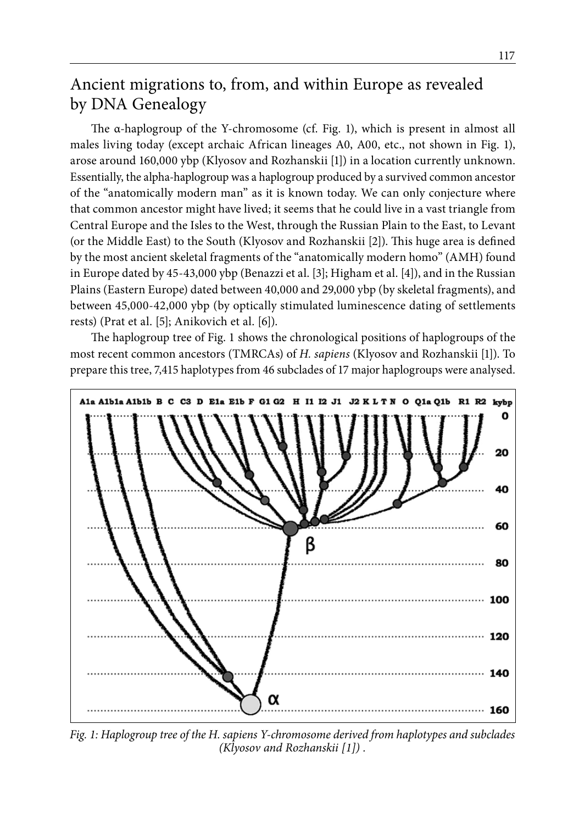# Ancient migrations to, from, and within Europe as revealed by DNA Genealogy

The α-haplogroup of the Y-chromosome (cf. Fig. 1), which is present in almost all males living today (except archaic African lineages A0, A00, etc., not shown in Fig. 1), arose around 160,000 ybp (Klyosov and Rozhanskii [1]) in a location currently unknown. Essentially, the alpha-haplogroup was a haplogroup produced by a survived common ancestor of the "anatomically modern man" as it is known today. We can only conjecture where that common ancestor might have lived; it seems that he could live in a vast triangle from Central Europe and the Isles to the West, through the Russian Plain to the East, to Levant (or the Middle East) to the South (Klyosov and Rozhanskii [2]). This huge area is defined by the most ancient skeletal fragments of the "anatomically modern homo" (AMH) found in Europe dated by 45-43,000 ybp (Benazzi et al. [3]; Higham et al. [4]), and in the Russian Plains (Eastern Europe) dated between 40,000 and 29,000 ybp (by skeletal fragments), and between 45,000-42,000 ybp (by optically stimulated luminescence dating of settlements rests) (Prat et al. [5]; Anikovich et al. [6]).

The haplogroup tree of Fig. 1 shows the chronological positions of haplogroups of the most recent common ancestors (TMRCAs) of *H. sapiens* (Klyosov and Rozhanskii [1]). To prepare this tree, 7,415 haplotypes from 46 subclades of 17 major haplogroups were analysed.



*Fig. 1: Haplogroup tree of the H. sapiens Y-chromosome derived from haplotypes and subclades (Klyosov and Rozhanskii [1]) .*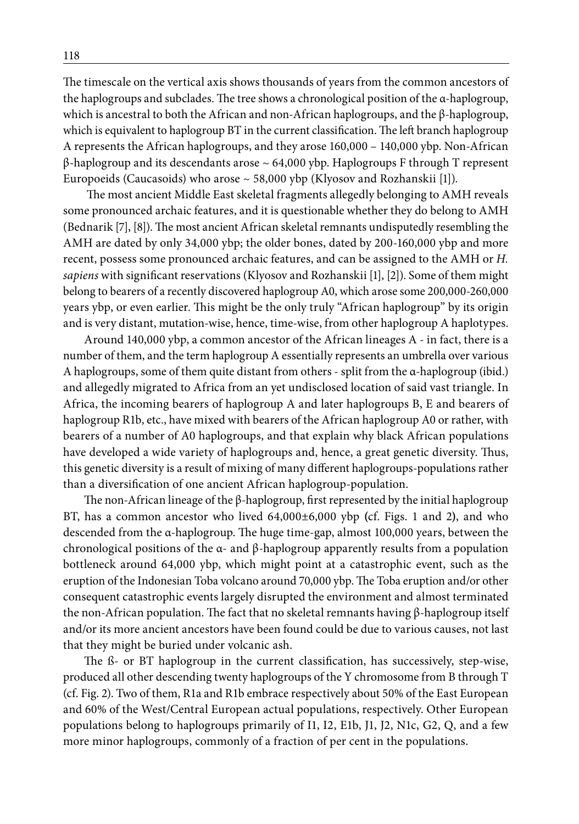The timescale on the vertical axis shows thousands of years from the common ancestors of the haplogroups and subclades. The tree shows a chronological position of the α-haplogroup, which is ancestral to both the African and non-African haplogroups, and the β-haplogroup, which is equivalent to haplogroup BT in the current classification. The left branch haplogroup A represents the African haplogroups, and they arose 160,000 – 140,000 ybp. Non-African β-haplogroup and its descendants arose ~ 64,000 ybp. Haplogroups F through T represent Europoeids (Caucasoids) who arose  $\sim$  58,000 ybp (Klyosov and Rozhanskii [1]).

 The most ancient Middle East skeletal fragments allegedly belonging to AMH reveals some pronounced archaic features, and it is questionable whether they do belong to AMH (Bednarik [7], [8]). The most ancient African skeletal remnants undisputedly resembling the AMH are dated by only 34,000 ybp; the older bones, dated by 200-160,000 ybp and more recent, possess some pronounced archaic features, and can be assigned to the AMH or *H. sapiens* with significant reservations (Klyosov and Rozhanskii [1], [2]). Some of them might belong to bearers of a recently discovered haplogroup A0, which arose some 200,000-260,000 years ybp, or even earlier. This might be the only truly "African haplogroup" by its origin and is very distant, mutation-wise, hence, time-wise, from other haplogroup A haplotypes.

Around 140,000 ybp, a common ancestor of the African lineages A - in fact, there is a number of them, and the term haplogroup A essentially represents an umbrella over various A haplogroups, some of them quite distant from others - split from the α-haplogroup (ibid.) and allegedly migrated to Africa from an yet undisclosed location of said vast triangle. In Africa, the incoming bearers of haplogroup A and later haplogroups B, E and bearers of haplogroup R1b, etc., have mixed with bearers of the African haplogroup A0 or rather, with bearers of a number of A0 haplogroups, and that explain why black African populations have developed a wide variety of haplogroups and, hence, a great genetic diversity. Thus, this genetic diversity is a result of mixing of many different haplogroups-populations rather than a diversification of one ancient African haplogroup-population.

The non-African lineage of the β-haplogroup, first represented by the initial haplogroup BT, has a common ancestor who lived 64,000±6,000 ybp **(**cf. Figs. 1 and 2**)**, and who descended from the α-haplogroup. The huge time-gap, almost 100,000 years, between the chronological positions of the α- and β-haplogroup apparently results from a population bottleneck around 64,000 ybp, which might point at a catastrophic event, such as the eruption of the Indonesian Toba volcano around 70,000 ybp. The Toba eruption and/or other consequent catastrophic events largely disrupted the environment and almost terminated the non-African population. The fact that no skeletal remnants having β-haplogroup itself and/or its more ancient ancestors have been found could be due to various causes, not last that they might be buried under volcanic ash.

The ß- or BT haplogroup in the current classification, has successively, step-wise, produced all other descending twenty haplogroups of the Y chromosome from B through T (cf. Fig. 2). Two of them, R1a and R1b embrace respectively about 50% of the East European and 60% of the West/Central European actual populations, respectively. Other European populations belong to haplogroups primarily of I1, I2, E1b, J1, J2, N1c, G2, Q, and a few more minor haplogroups, commonly of a fraction of per cent in the populations.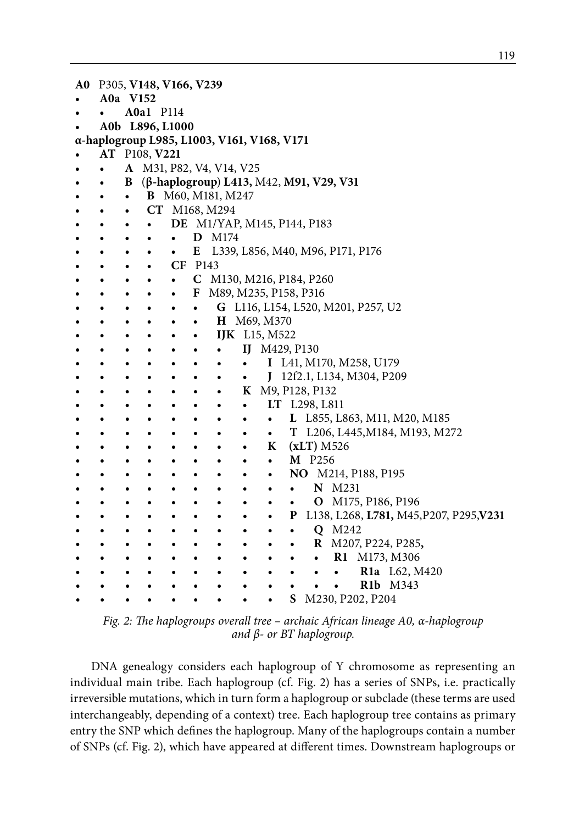| A0 |                                            |           | P305, V148, V166, V239   |           |           |                   |           |                                         |           |               |                     |                                    |                                |                                         |
|----|--------------------------------------------|-----------|--------------------------|-----------|-----------|-------------------|-----------|-----------------------------------------|-----------|---------------|---------------------|------------------------------------|--------------------------------|-----------------------------------------|
|    |                                            | A0a V152  |                          |           |           |                   |           |                                         |           |               |                     |                                    |                                |                                         |
|    |                                            |           | A0a1 P114                |           |           |                   |           |                                         |           |               |                     |                                    |                                |                                         |
|    |                                            |           | A0b L896, L1000          |           |           |                   |           |                                         |           |               |                     |                                    |                                |                                         |
|    | α-haplogroup L985, L1003, V161, V168, V171 |           |                          |           |           |                   |           |                                         |           |               |                     |                                    |                                |                                         |
|    |                                            |           | AT P108, V221            |           |           |                   |           |                                         |           |               |                     |                                    |                                |                                         |
|    |                                            |           | A M31, P82, V4, V14, V25 |           |           |                   |           |                                         |           |               |                     |                                    |                                |                                         |
|    | ٠                                          | B         |                          |           |           |                   |           | (β-haplogroup) L413, M42, M91, V29, V31 |           |               |                     |                                    |                                |                                         |
|    | $\bullet$                                  | $\bullet$ |                          |           |           | B M60, M181, M247 |           |                                         |           |               |                     |                                    |                                |                                         |
|    |                                            | $\bullet$ |                          |           |           | CT M168, M294     |           |                                         |           |               |                     |                                    |                                |                                         |
|    | ٠                                          | $\bullet$ | ٠                        |           |           |                   |           | <b>DE</b> M1/YAP, M145, P144, P183      |           |               |                     |                                    |                                |                                         |
|    |                                            |           | ٠                        | $\bullet$ |           | D M174            |           |                                         |           |               |                     |                                    |                                |                                         |
|    |                                            |           |                          | $\bullet$ |           |                   |           |                                         |           |               |                     | E L339, L856, M40, M96, P171, P176 |                                |                                         |
|    |                                            |           | $\bullet$                | CF P143   |           |                   |           |                                         |           |               |                     |                                    |                                |                                         |
|    |                                            |           |                          | $\bullet$ |           |                   |           | C M130, M216, P184, P260                |           |               |                     |                                    |                                |                                         |
|    |                                            |           |                          | $\bullet$ |           |                   |           | F M89, M235, P158, P316                 |           |               |                     |                                    |                                |                                         |
|    |                                            |           |                          |           | $\bullet$ |                   |           |                                         |           |               |                     | G L116, L154, L520, M201, P257, U2 |                                |                                         |
|    |                                            |           |                          |           | $\bullet$ |                   |           | H M69, M370                             |           |               |                     |                                    |                                |                                         |
|    |                                            |           |                          |           | $\bullet$ |                   |           | <b>IJK</b> L15, M522                    |           |               |                     |                                    |                                |                                         |
|    |                                            |           |                          |           | ٠         | ٠                 |           | IJ M429, P130                           |           |               |                     |                                    |                                |                                         |
|    |                                            |           |                          |           |           | ٠                 | $\bullet$ |                                         |           |               |                     | I L41, M170, M258, U179            |                                |                                         |
|    |                                            |           |                          |           |           | ٠                 | $\bullet$ |                                         |           |               |                     | J 12f2.1, L134, M304, P209         |                                |                                         |
|    |                                            |           |                          |           |           | ٠                 |           | K M9, P128, P132                        |           |               |                     |                                    |                                |                                         |
|    |                                            |           |                          |           |           | ٠                 | $\bullet$ |                                         |           | LT L298, L811 |                     |                                    |                                |                                         |
|    |                                            |           |                          |           |           |                   | $\bullet$ | $\bullet$                               |           |               |                     |                                    | L L855, L863, M11, M20, M185   |                                         |
|    |                                            |           |                          |           |           |                   | $\bullet$ | $\bullet$                               |           |               |                     |                                    | T L206, L445, M184, M193, M272 |                                         |
|    |                                            |           |                          |           |           |                   | $\bullet$ | K                                       |           | $(xLT)$ M526  |                     |                                    |                                |                                         |
|    |                                            |           |                          |           |           |                   | ٠         | $\bullet$                               |           | M P256        |                     |                                    |                                |                                         |
|    |                                            |           |                          |           |           |                   |           | ٠                                       |           |               |                     | NO M214, P188, P195                |                                |                                         |
|    |                                            |           |                          |           |           |                   |           |                                         | $\bullet$ |               | N M231              |                                    |                                |                                         |
|    |                                            |           |                          |           |           |                   |           |                                         | $\bullet$ |               |                     | O M175, P186, P196                 |                                |                                         |
|    |                                            |           |                          |           | ٠         |                   |           |                                         | P         |               |                     |                                    |                                | L138, L268, L781, M45, P207, P295, V231 |
|    |                                            | $\bullet$ |                          |           | $\bullet$ |                   |           |                                         | $\bullet$ |               | Q M242              |                                    |                                |                                         |
|    |                                            | ٠         |                          |           | $\bullet$ |                   | $\bullet$ |                                         | ٠         |               |                     | R M207, P224, P285,                |                                |                                         |
|    |                                            |           |                          |           |           |                   | $\bullet$ |                                         | ٠         | $\bullet$     |                     | R1 M173, M306                      |                                |                                         |
|    |                                            |           |                          |           |           |                   | ٠         |                                         |           | $\bullet$     | $\bullet$           |                                    | R1a L62, M420                  |                                         |
|    |                                            |           |                          |           |           |                   |           |                                         | ٠         |               | $\bullet$ $\bullet$ |                                    | R1b M343                       |                                         |
|    |                                            |           |                          |           |           |                   |           |                                         | S         |               |                     | M230, P202, P204                   |                                |                                         |

*Fig. 2: The haplogroups overall tree – archaic African lineage A0, α-haplogroup and β- or BT haplogroup.* 

DNA genealogy considers each haplogroup of Y chromosome as representing an individual main tribe. Each haplogroup (cf. Fig. 2) has a series of SNPs, i.e. practically irreversible mutations, which in turn form a haplogroup or subclade (these terms are used interchangeably, depending of a context) tree. Each haplogroup tree contains as primary entry the SNP which defines the haplogroup. Many of the haplogroups contain a number of SNPs (cf. Fig. 2), which have appeared at different times. Downstream haplogroups or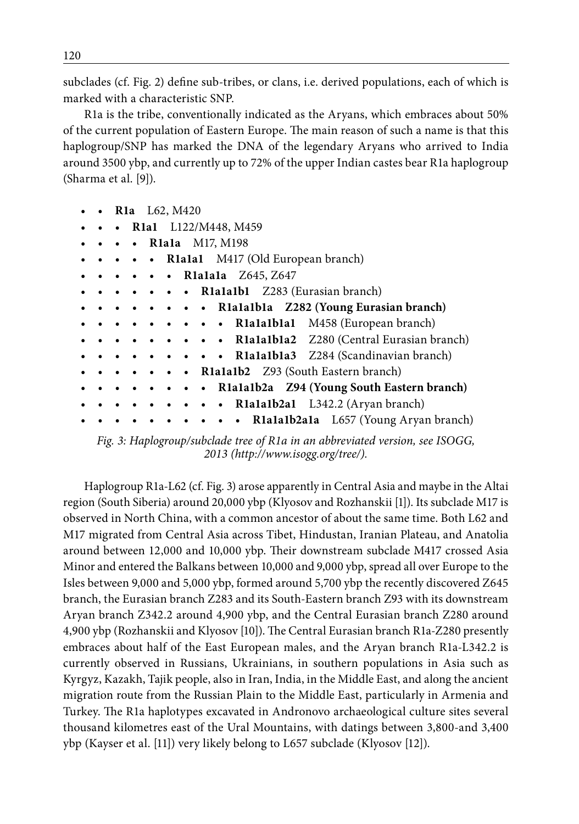subclades (cf. Fig. 2) define sub-tribes, or clans, i.e. derived populations, each of which is marked with a characteristic SNP.

R1a is the tribe, conventionally indicated as the Aryans, which embraces about 50% of the current population of Eastern Europe. The main reason of such a name is that this haplogroup/SNP has marked the DNA of the legendary Aryans who arrived to India around 3500 ybp, and currently up to 72% of the upper Indian castes bear R1a haplogroup (Sharma et al. [9]).

|  | <b>R1a</b> L62, M420                                                                            |  |
|--|-------------------------------------------------------------------------------------------------|--|
|  | • R1a1 $L122/M448$ , M459                                                                       |  |
|  | • Rlala M17, M198                                                                               |  |
|  | $\bullet \bullet \bullet \bullet \bullet \mathbb{R}$ <b>Rialal</b> M417 (Old European branch)   |  |
|  | • • • Rialala $Z645, Z647$                                                                      |  |
|  | $\bullet \bullet \bullet \bullet \bullet \bullet \text{ R1alable1}$ Z283 (Eurasian branch)      |  |
|  | . Rialaibla Z282 (Young Eurasian branch)                                                        |  |
|  | • • • • • Rialaiblal M458 (European branch)                                                     |  |
|  | . Rialaibla2 Z280 (Central Eurasian branch)                                                     |  |
|  | $\bullet \bullet \bullet \bullet \bullet \bullet \bullet$ R1a1a1b1a3 Z284 (Scandinavian branch) |  |
|  | • • R1a1a1b2 Z93 (South Eastern branch)                                                         |  |
|  | • • • • Rialalb2a Z94 (Young South Eastern branch)                                              |  |
|  | $\bullet \bullet \bullet \bullet \mathbb{R}$ lalalb2al L342.2 (Aryan branch)                    |  |
|  | • • Rialalb2ala L657 (Young Aryan branch)                                                       |  |

*Fig. 3: Haplogroup/subclade tree of R1a in an abbreviated version, see ISOGG, 2013 (http://www.isogg.org/tree/).* 

Haplogroup R1a-L62 (cf. Fig. 3) arose apparently in Central Asia and maybe in the Altai region (South Siberia) around 20,000 ybp (Klyosov and Rozhanskii [1]). Its subclade M17 is observed in North China, with a common ancestor of about the same time. Both L62 and M17 migrated from Central Asia across Tibet, Hindustan, Iranian Plateau, and Anatolia around between 12,000 and 10,000 ybp. Their downstream subclade M417 crossed Asia Minor and entered the Balkans between 10,000 and 9,000 ybp, spread all over Europe to the Isles between 9,000 and 5,000 ybp, formed around 5,700 ybp the recently discovered Z645 branch, the Eurasian branch Z283 and its South-Eastern branch Z93 with its downstream Aryan branch Z342.2 around 4,900 ybp, and the Central Eurasian branch Z280 around 4,900 ybp (Rozhanskii and Klyosov [10]). The Central Eurasian branch R1a-Z280 presently embraces about half of the East European males, and the Aryan branch R1a-L342.2 is currently observed in Russians, Ukrainians, in southern populations in Asia such as Kyrgyz, Kazakh, Tajik people, also in Iran, India, in the Middle East, and along the ancient migration route from the Russian Plain to the Middle East, particularly in Armenia and Turkey. The R1a haplotypes excavated in Andronovo archaeological culture sites several thousand kilometres east of the Ural Mountains, with datings between 3,800-and 3,400 ybp (Kayser et al. [11]) very likely belong to L657 subclade (Klyosov [12]).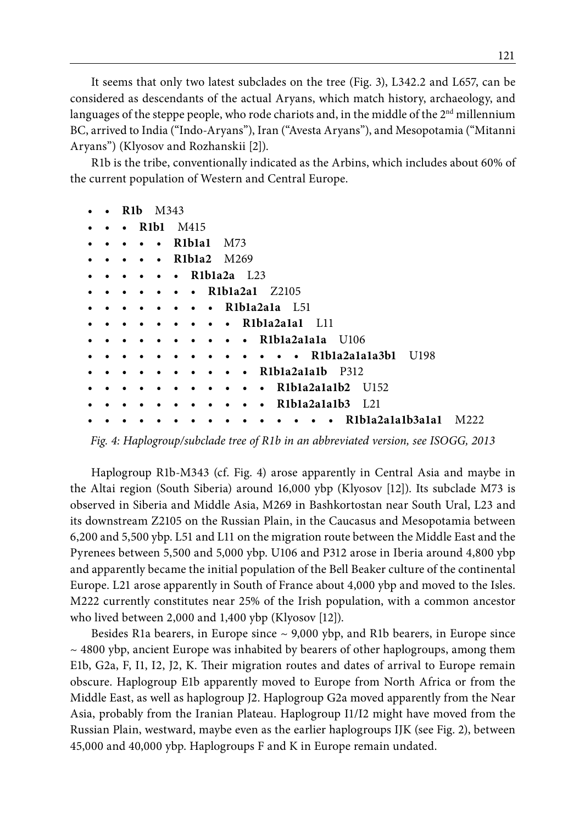It seems that only two latest subclades on the tree (Fig. 3), L342.2 and L657, can be considered as descendants of the actual Aryans, which match history, archaeology, and languages of the steppe people, who rode chariots and, in the middle of the 2<sup>nd</sup> millennium BC, arrived to India ("Indo-Aryans"), Iran ("Avesta Aryans"), and Mesopotamia ("Mitanni Aryans") (Klyosov and Rozhanskii [2]).

R1b is the tribe, conventionally indicated as the Arbins, which includes about 60% of the current population of Western and Central Europe.

| $\bullet$ | R <sub>1</sub> b<br>M343                   |                                                     |
|-----------|--------------------------------------------|-----------------------------------------------------|
| $\bullet$ | R <sub>1</sub> b <sub>1</sub><br>$\bullet$ | M415                                                |
| ٠         | $\bullet$                                  | R <sub>1</sub> b <sub>1</sub> a <sub>1</sub><br>M73 |
| $\bullet$ | $\bullet$                                  | R <sub>1</sub> b <sub>1a2</sub> M <sub>269</sub>    |
| $\bullet$ | $\bullet$                                  | $R1b1a2a$ $L23$<br>$\bullet$                        |
| ٠         |                                            | R1b1a2a1<br>Z2105<br>$\bullet$                      |
| $\bullet$ |                                            | • R1bla2a1a L51                                     |
| $\bullet$ | $\bullet$                                  | • R1bla2a1a1 L11                                    |
| ٠         |                                            | • R1b1a2a1a1a U106                                  |
|           |                                            | $\cdot \cdot \cdot$ R1b1a2a1a1a3b1<br>U198          |
|           |                                            | R1b1a2a1a1b P312<br>$\bullet$                       |
| ٠         |                                            | $R1b1a2a1a1b2$ $U152$<br>$\bullet$                  |
| ٠         |                                            | R1b1a2a1a1b3 L21<br>$\bullet$                       |
|           |                                            | R1b1a2a1a1b3a1a1<br>M222                            |

*Fig. 4: Haplogroup/subclade tree of R1b in an abbreviated version, see ISOGG, 2013*

Haplogroup R1b-M343 (cf. Fig. 4) arose apparently in Central Asia and maybe in the Altai region (South Siberia) around 16,000 ybp (Klyosov [12]). Its subclade M73 is observed in Siberia and Middle Asia, M269 in Bashkortostan near South Ural, L23 and its downstream Z2105 on the Russian Plain, in the Caucasus and Mesopotamia between 6,200 and 5,500 ybp. L51 and L11 on the migration route between the Middle East and the Pyrenees between 5,500 and 5,000 ybp. U106 and P312 arose in Iberia around 4,800 ybp and apparently became the initial population of the Bell Beaker culture of the continental Europe. L21 arose apparently in South of France about 4,000 ybp and moved to the Isles. M222 currently constitutes near 25% of the Irish population, with a common ancestor who lived between 2,000 and 1,400 ybp (Klyosov [12]).

Besides R1a bearers, in Europe since  $\sim$  9,000 ybp, and R1b bearers, in Europe since  $\sim$  4800 ybp, ancient Europe was inhabited by bearers of other haplogroups, among them E1b, G2a, F, I1, I2, J2, K. Their migration routes and dates of arrival to Europe remain obscure. Haplogroup E1b apparently moved to Europe from North Africa or from the Middle East, as well as haplogroup J2. Haplogroup G2a moved apparently from the Near Asia, probably from the Iranian Plateau. Haplogroup I1/I2 might have moved from the Russian Plain, westward, maybe even as the earlier haplogroups IJK (see Fig. 2), between 45,000 and 40,000 ybp. Haplogroups F and K in Europe remain undated.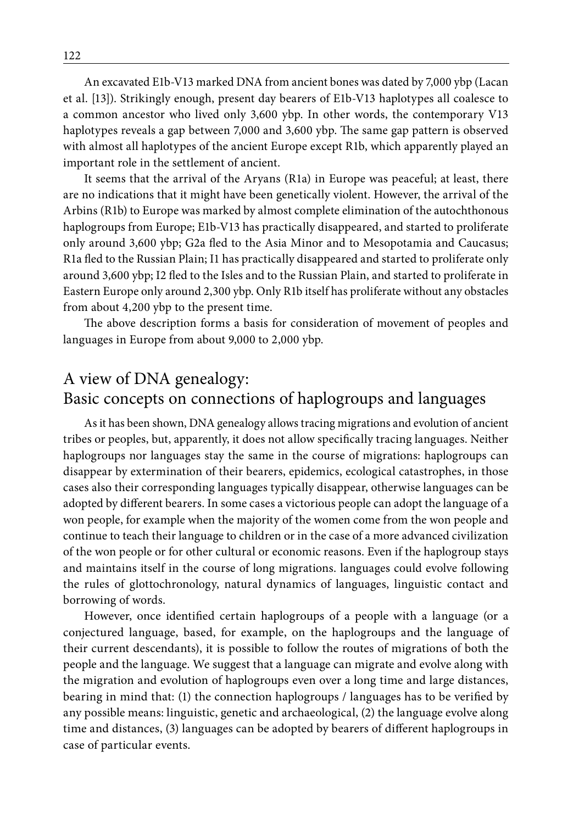An excavated E1b-V13 marked DNA from ancient bones was dated by 7,000 ybp (Lacan et al. [13]). Strikingly enough, present day bearers of E1b-V13 haplotypes all coalesce to a common ancestor who lived only 3,600 ybp. In other words, the contemporary V13 haplotypes reveals a gap between 7,000 and 3,600 ybp. The same gap pattern is observed with almost all haplotypes of the ancient Europe except R1b, which apparently played an important role in the settlement of ancient.

It seems that the arrival of the Aryans (R1a) in Europe was peaceful; at least, there are no indications that it might have been genetically violent. However, the arrival of the Arbins (R1b) to Europe was marked by almost complete elimination of the autochthonous haplogroups from Europe; E1b-V13 has practically disappeared, and started to proliferate only around 3,600 ybp; G2a fled to the Asia Minor and to Mesopotamia and Caucasus; R1a fled to the Russian Plain; I1 has practically disappeared and started to proliferate only around 3,600 ybp; I2 fled to the Isles and to the Russian Plain, and started to proliferate in Eastern Europe only around 2,300 ybp. Only R1b itself has proliferate without any obstacles from about 4,200 ybp to the present time.

The above description forms a basis for consideration of movement of peoples and languages in Europe from about 9,000 to 2,000 ybp.

# A view of DNA genealogy: Basic concepts on connections of haplogroups and languages

As it has been shown, DNA genealogy allows tracing migrations and evolution of ancient tribes or peoples, but, apparently, it does not allow specifically tracing languages. Neither haplogroups nor languages stay the same in the course of migrations: haplogroups can disappear by extermination of their bearers, epidemics, ecological catastrophes, in those cases also their corresponding languages typically disappear, otherwise languages can be adopted by different bearers. In some cases a victorious people can adopt the language of a won people, for example when the majority of the women come from the won people and continue to teach their language to children or in the case of a more advanced civilization of the won people or for other cultural or economic reasons. Even if the haplogroup stays and maintains itself in the course of long migrations. languages could evolve following the rules of glottochronology, natural dynamics of languages, linguistic contact and borrowing of words.

However, once identified certain haplogroups of a people with a language (or a conjectured language, based, for example, on the haplogroups and the language of their current descendants), it is possible to follow the routes of migrations of both the people and the language. We suggest that a language can migrate and evolve along with the migration and evolution of haplogroups even over a long time and large distances, bearing in mind that: (1) the connection haplogroups / languages has to be verified by any possible means: linguistic, genetic and archaeological, (2) the language evolve along time and distances, (3) languages can be adopted by bearers of different haplogroups in case of particular events.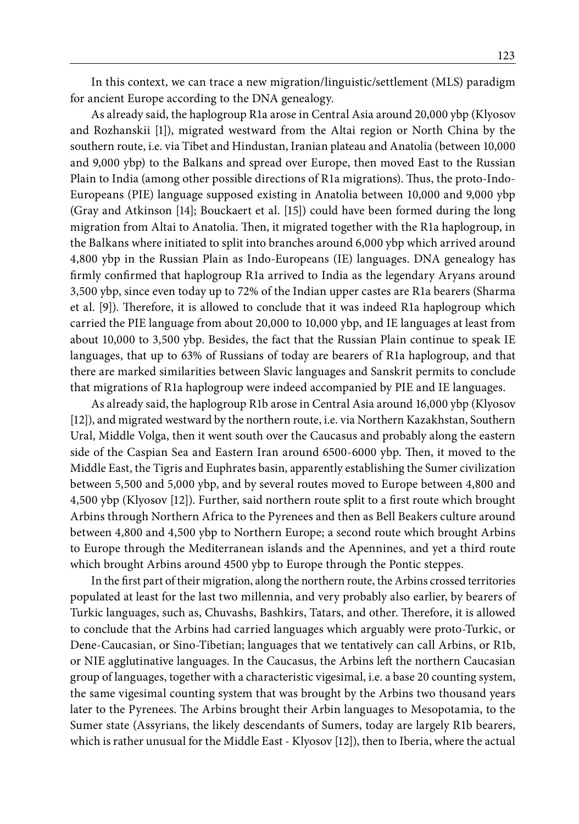In this context, we can trace a new migration/linguistic/settlement (MLS) paradigm for ancient Europe according to the DNA genealogy.

As already said, the haplogroup R1a arose in Central Asia around 20,000 ybp (Klyosov and Rozhanskii [1]), migrated westward from the Altai region or North China by the southern route, i.e. via Tibet and Hindustan, Iranian plateau and Anatolia (between 10,000 and 9,000 ybp) to the Balkans and spread over Europe, then moved East to the Russian Plain to India (among other possible directions of R1a migrations). Thus, the proto-Indo-Europeans (PIE) language supposed existing in Anatolia between 10,000 and 9,000 ybp (Gray and Atkinson [14]; Bouckaert et al. [15]) could have been formed during the long migration from Altai to Anatolia. Then, it migrated together with the R1a haplogroup, in the Balkans where initiated to split into branches around 6,000 ybp which arrived around 4,800 ybp in the Russian Plain as Indo-Europeans (IE) languages. DNA genealogy has firmly confirmed that haplogroup R1a arrived to India as the legendary Aryans around 3,500 ybp, since even today up to 72% of the Indian upper castes are R1a bearers (Sharma et al. [9]). Therefore, it is allowed to conclude that it was indeed R1a haplogroup which carried the PIE language from about 20,000 to 10,000 ybp, and IE languages at least from about 10,000 to 3,500 ybp. Besides, the fact that the Russian Plain continue to speak IE languages, that up to 63% of Russians of today are bearers of R1a haplogroup, and that there are marked similarities between Slavic languages and Sanskrit permits to conclude that migrations of R1a haplogroup were indeed accompanied by PIE and IE languages.

As already said, the haplogroup R1b arose in Central Asia around 16,000 ybp (Klyosov [12]), and migrated westward by the northern route, i.e. via Northern Kazakhstan, Southern Ural, Middle Volga, then it went south over the Caucasus and probably along the eastern side of the Caspian Sea and Eastern Iran around 6500-6000 ybp. Then, it moved to the Middle East, the Tigris and Euphrates basin, apparently establishing the Sumer civilization between 5,500 and 5,000 ybp, and by several routes moved to Europe between 4,800 and 4,500 ybp (Klyosov [12]). Further, said northern route split to a first route which brought Arbins through Northern Africa to the Pyrenees and then as Bell Beakers culture around between 4,800 and 4,500 ybp to Northern Europe; a second route which brought Arbins to Europe through the Mediterranean islands and the Apennines, and yet a third route which brought Arbins around 4500 ybp to Europe through the Pontic steppes.

In the first part of their migration, along the northern route, the Arbins crossed territories populated at least for the last two millennia, and very probably also earlier, by bearers of Turkic languages, such as, Chuvashs, Bashkirs, Tatars, and other. Therefore, it is allowed to conclude that the Arbins had carried languages which arguably were proto-Turkic, or Dene-Caucasian, or Sino-Tibetian; languages that we tentatively can call Arbins, or R1b, or NIE agglutinative languages. In the Caucasus, the Arbins left the northern Caucasian group of languages, together with a characteristic vigesimal, i.e. a base 20 counting system, the same vigesimal counting system that was brought by the Arbins two thousand years later to the Pyrenees. The Arbins brought their Arbin languages to Mesopotamia, to the Sumer state (Assyrians, the likely descendants of Sumers, today are largely R1b bearers, which is rather unusual for the Middle East - Klyosov [12]), then to Iberia, where the actual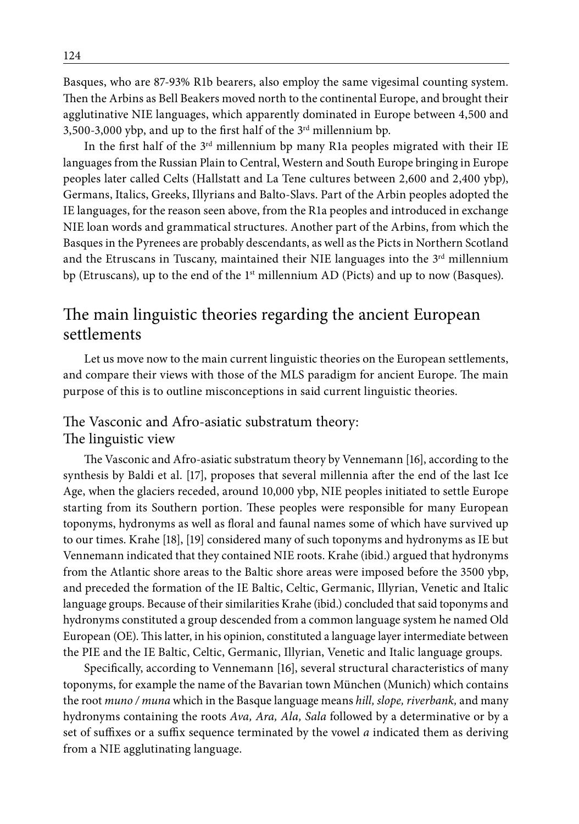Basques, who are 87-93% R1b bearers, also employ the same vigesimal counting system. Then the Arbins as Bell Beakers moved north to the continental Europe, and brought their agglutinative NIE languages, which apparently dominated in Europe between 4,500 and 3,500-3,000 ybp, and up to the first half of the  $3<sup>rd</sup>$  millennium bp.

In the first half of the  $3<sup>rd</sup>$  millennium bp many R1a peoples migrated with their IE languages from the Russian Plain to Central, Western and South Europe bringing in Europe peoples later called Celts (Hallstatt and La Tene cultures between 2,600 and 2,400 ybp), Germans, Italics, Greeks, Illyrians and Balto-Slavs. Part of the Arbin peoples adopted the IE languages, for the reason seen above, from the R1a peoples and introduced in exchange NIE loan words and grammatical structures. Another part of the Arbins, from which the Basques in the Pyrenees are probably descendants, as well as the Picts in Northern Scotland and the Etruscans in Tuscany, maintained their NIE languages into the  $3<sup>rd</sup>$  millennium bp (Etruscans), up to the end of the 1<sup>st</sup> millennium AD (Picts) and up to now (Basques).

# The main linguistic theories regarding the ancient European settlements

Let us move now to the main current linguistic theories on the European settlements, and compare their views with those of the MLS paradigm for ancient Europe. The main purpose of this is to outline misconceptions in said current linguistic theories.

#### The Vasconic and Afro-asiatic substratum theory: The linguistic view

The Vasconic and Afro-asiatic substratum theory by Vennemann [16], according to the synthesis by Baldi et al. [17], proposes that several millennia after the end of the last Ice Age, when the glaciers receded, around 10,000 ybp, NIE peoples initiated to settle Europe starting from its Southern portion. These peoples were responsible for many European toponyms, hydronyms as well as floral and faunal names some of which have survived up to our times. Krahe [18], [19] considered many of such toponyms and hydronyms as IE but Vennemann indicated that they contained NIE roots. Krahe (ibid.) argued that hydronyms from the Atlantic shore areas to the Baltic shore areas were imposed before the 3500 ybp, and preceded the formation of the IE Baltic, Celtic, Germanic, Illyrian, Venetic and Italic language groups. Because of their similarities Krahe (ibid.) concluded that said toponyms and hydronyms constituted a group descended from a common language system he named Old European (OE). This latter, in his opinion, constituted a language layer intermediate between the PIE and the IE Baltic, Celtic, Germanic, Illyrian, Venetic and Italic language groups.

Specifically, according to Vennemann [16], several structural characteristics of many toponyms, for example the name of the Bavarian town München (Munich) which contains the root *muno / muna* which in the Basque language means *hill, slope, riverbank,* and many hydronyms containing the roots *Ava, Ara, Ala, Sala* followed by a determinative or by a set of suffixes or a suffix sequence terminated by the vowel *a* indicated them as deriving from a NIE agglutinating language.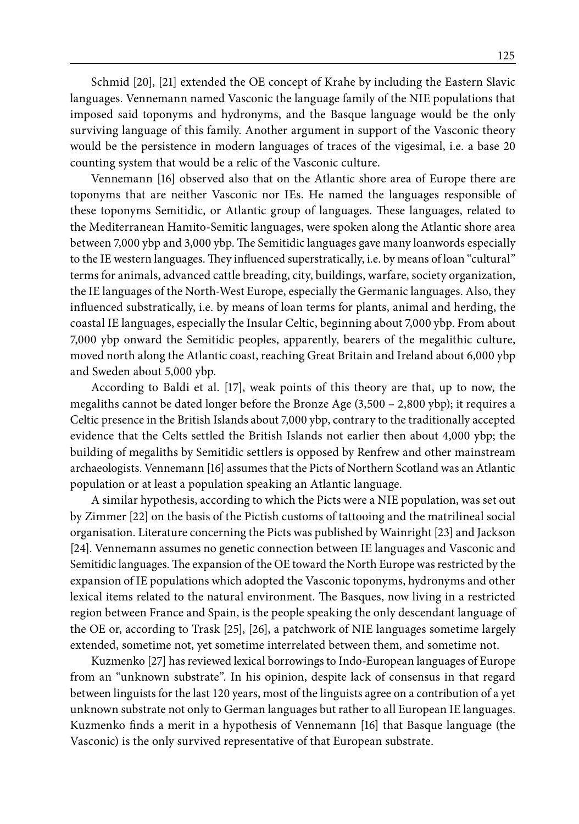Schmid [20], [21] extended the OE concept of Krahe by including the Eastern Slavic languages. Vennemann named Vasconic the language family of the NIE populations that imposed said toponyms and hydronyms, and the Basque language would be the only surviving language of this family. Another argument in support of the Vasconic theory would be the persistence in modern languages of traces of the vigesimal, i.e. a base 20 counting system that would be a relic of the Vasconic culture.

Vennemann [16] observed also that on the Atlantic shore area of Europe there are toponyms that are neither Vasconic nor IEs. He named the languages responsible of these toponyms Semitidic, or Atlantic group of languages. These languages, related to the Mediterranean Hamito-Semitic languages, were spoken along the Atlantic shore area between 7,000 ybp and 3,000 ybp. The Semitidic languages gave many loanwords especially to the IE western languages. They influenced superstratically, i.e. by means of loan "cultural" terms for animals, advanced cattle breading, city, buildings, warfare, society organization, the IE languages of the North-West Europe, especially the Germanic languages. Also, they influenced substratically, i.e. by means of loan terms for plants, animal and herding, the coastal IE languages, especially the Insular Celtic, beginning about 7,000 ybp. From about 7,000 ybp onward the Semitidic peoples, apparently, bearers of the megalithic culture, moved north along the Atlantic coast, reaching Great Britain and Ireland about 6,000 ybp and Sweden about 5,000 ybp.

According to Baldi et al. [17], weak points of this theory are that, up to now, the megaliths cannot be dated longer before the Bronze Age (3,500 – 2,800 ybp); it requires a Celtic presence in the British Islands about 7,000 ybp, contrary to the traditionally accepted evidence that the Celts settled the British Islands not earlier then about 4,000 ybp; the building of megaliths by Semitidic settlers is opposed by Renfrew and other mainstream archaeologists. Vennemann [16] assumes that the Picts of Northern Scotland was an Atlantic population or at least a population speaking an Atlantic language.

A similar hypothesis, according to which the Picts were a NIE population, was set out by Zimmer [22] on the basis of the Pictish customs of tattooing and the matrilineal social organisation. Literature concerning the Picts was published by Wainright [23] and Jackson [24]. Vennemann assumes no genetic connection between IE languages and Vasconic and Semitidic languages. The expansion of the OE toward the North Europe was restricted by the expansion of IE populations which adopted the Vasconic toponyms, hydronyms and other lexical items related to the natural environment. The Basques, now living in a restricted region between France and Spain, is the people speaking the only descendant language of the OE or, according to Trask [25], [26], a patchwork of NIE languages sometime largely extended, sometime not, yet sometime interrelated between them, and sometime not.

Kuzmenko [27] has reviewed lexical borrowings to Indo-European languages of Europe from an "unknown substrate". In his opinion, despite lack of consensus in that regard between linguists for the last 120 years, most of the linguists agree on a contribution of a yet unknown substrate not only to German languages but rather to all European IE languages. Kuzmenko finds a merit in a hypothesis of Vennemann [16] that Basque language (the Vasconic) is the only survived representative of that European substrate.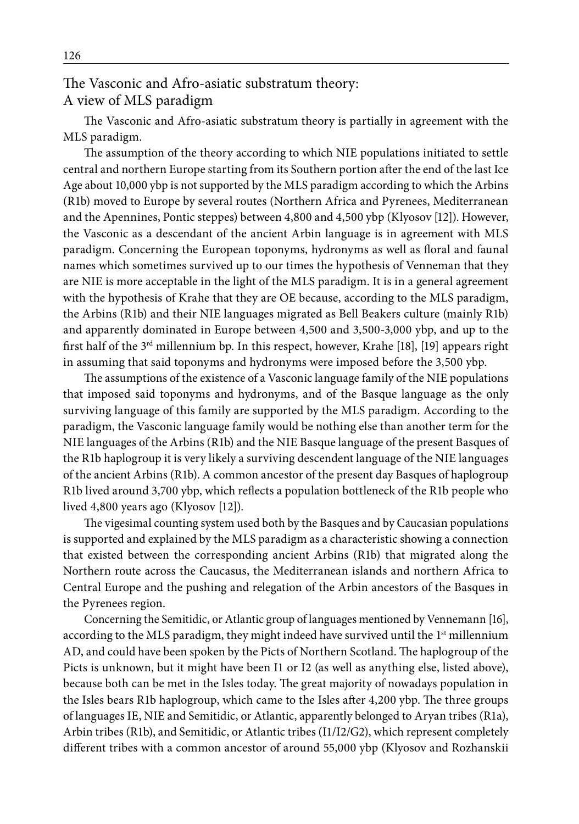### The Vasconic and Afro-asiatic substratum theory: A view of MLS paradigm

The Vasconic and Afro-asiatic substratum theory is partially in agreement with the MLS paradigm.

The assumption of the theory according to which NIE populations initiated to settle central and northern Europe starting from its Southern portion after the end of the last Ice Age about 10,000 ybp is not supported by the MLS paradigm according to which the Arbins (R1b) moved to Europe by several routes (Northern Africa and Pyrenees, Mediterranean and the Apennines, Pontic steppes) between 4,800 and 4,500 ybp (Klyosov [12]). However, the Vasconic as a descendant of the ancient Arbin language is in agreement with MLS paradigm. Concerning the European toponyms, hydronyms as well as floral and faunal names which sometimes survived up to our times the hypothesis of Venneman that they are NIE is more acceptable in the light of the MLS paradigm. It is in a general agreement with the hypothesis of Krahe that they are OE because, according to the MLS paradigm, the Arbins (R1b) and their NIE languages migrated as Bell Beakers culture (mainly R1b) and apparently dominated in Europe between 4,500 and 3,500-3,000 ybp, and up to the first half of the  $3<sup>rd</sup>$  millennium bp. In this respect, however, Krahe [18], [19] appears right in assuming that said toponyms and hydronyms were imposed before the 3,500 ybp.

The assumptions of the existence of a Vasconic language family of the NIE populations that imposed said toponyms and hydronyms, and of the Basque language as the only surviving language of this family are supported by the MLS paradigm. According to the paradigm, the Vasconic language family would be nothing else than another term for the NIE languages of the Arbins (R1b) and the NIE Basque language of the present Basques of the R1b haplogroup it is very likely a surviving descendent language of the NIE languages of the ancient Arbins (R1b). A common ancestor of the present day Basques of haplogroup R1b lived around 3,700 ybp, which reflects a population bottleneck of the R1b people who lived 4,800 years ago (Klyosov [12]).

The vigesimal counting system used both by the Basques and by Caucasian populations is supported and explained by the MLS paradigm as a characteristic showing a connection that existed between the corresponding ancient Arbins (R1b) that migrated along the Northern route across the Caucasus, the Mediterranean islands and northern Africa to Central Europe and the pushing and relegation of the Arbin ancestors of the Basques in the Pyrenees region.

Concerning the Semitidic, or Atlantic group of languages mentioned by Vennemann [16], according to the MLS paradigm, they might indeed have survived until the 1<sup>st</sup> millennium AD, and could have been spoken by the Picts of Northern Scotland. The haplogroup of the Picts is unknown, but it might have been I1 or I2 (as well as anything else, listed above), because both can be met in the Isles today. The great majority of nowadays population in the Isles bears R1b haplogroup, which came to the Isles after 4,200 ybp. The three groups of languages IE, NIE and Semitidic, or Atlantic, apparently belonged to Aryan tribes (R1a), Arbin tribes (R1b), and Semitidic, or Atlantic tribes (I1/I2/G2), which represent completely different tribes with a common ancestor of around 55,000 ybp (Klyosov and Rozhanskii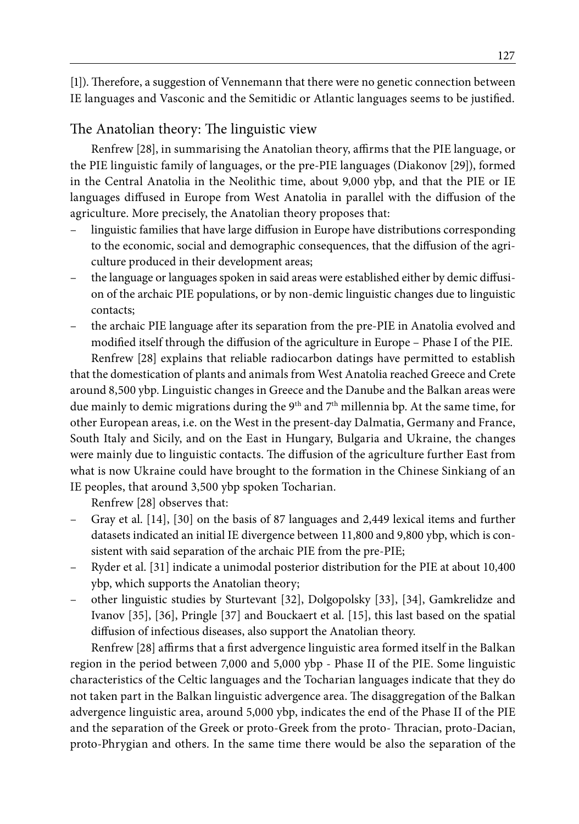[1]). Therefore, a suggestion of Vennemann that there were no genetic connection between IE languages and Vasconic and the Semitidic or Atlantic languages seems to be justified.

#### The Anatolian theory: The linguistic view

Renfrew [28], in summarising the Anatolian theory, affirms that the PIE language, or the PIE linguistic family of languages, or the pre-PIE languages (Diakonov [29]), formed in the Central Anatolia in the Neolithic time, about 9,000 ybp, and that the PIE or IE languages diffused in Europe from West Anatolia in parallel with the diffusion of the agriculture. More precisely, the Anatolian theory proposes that:

- linguistic families that have large diffusion in Europe have distributions corresponding to the economic, social and demographic consequences, that the diffusion of the agriculture produced in their development areas;
- the language or languages spoken in said areas were established either by demic diffusion of the archaic PIE populations, or by non-demic linguistic changes due to linguistic contacts;
- the archaic PIE language after its separation from the pre-PIE in Anatolia evolved and modified itself through the diffusion of the agriculture in Europe – Phase I of the PIE.

Renfrew [28] explains that reliable radiocarbon datings have permitted to establish that the domestication of plants and animals from West Anatolia reached Greece and Crete around 8,500 ybp. Linguistic changes in Greece and the Danube and the Balkan areas were due mainly to demic migrations during the 9<sup>th</sup> and 7<sup>th</sup> millennia bp. At the same time, for other European areas, i.e. on the West in the present-day Dalmatia, Germany and France, South Italy and Sicily, and on the East in Hungary, Bulgaria and Ukraine, the changes were mainly due to linguistic contacts. The diffusion of the agriculture further East from what is now Ukraine could have brought to the formation in the Chinese Sinkiang of an IE peoples, that around 3,500 ybp spoken Tocharian.

Renfrew [28] observes that:

- Gray et al. [14], [30] on the basis of 87 languages and 2,449 lexical items and further datasets indicated an initial IE divergence between 11,800 and 9,800 ybp, which is consistent with said separation of the archaic PIE from the pre-PIE;
- Ryder et al. [31] indicate a unimodal posterior distribution for the PIE at about 10,400 ybp, which supports the Anatolian theory;
- other linguistic studies by Sturtevant [32], Dolgopolsky [33], [34], Gamkrelidze and Ivanov [35], [36], Pringle [37] and Bouckaert et al. [15], this last based on the spatial diffusion of infectious diseases, also support the Anatolian theory.

Renfrew [28] affirms that a first advergence linguistic area formed itself in the Balkan region in the period between 7,000 and 5,000 ybp - Phase II of the PIE. Some linguistic characteristics of the Celtic languages and the Tocharian languages indicate that they do not taken part in the Balkan linguistic advergence area. The disaggregation of the Balkan advergence linguistic area, around 5,000 ybp, indicates the end of the Phase II of the PIE and the separation of the Greek or proto-Greek from the proto- Thracian, proto-Dacian, proto-Phrygian and others. In the same time there would be also the separation of the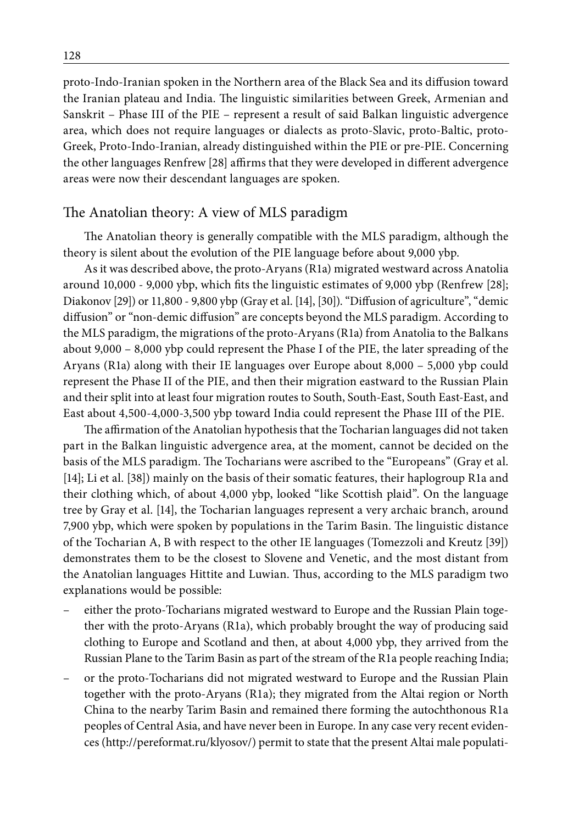proto-Indo-Iranian spoken in the Northern area of the Black Sea and its diffusion toward the Iranian plateau and India. The linguistic similarities between Greek, Armenian and Sanskrit – Phase III of the PIE – represent a result of said Balkan linguistic advergence area, which does not require languages or dialects as proto-Slavic, proto-Baltic, proto-Greek, Proto-Indo-Iranian, already distinguished within the PIE or pre-PIE. Concerning the other languages Renfrew [28] affirms that they were developed in different advergence areas were now their descendant languages are spoken.

#### The Anatolian theory: A view of MLS paradigm

The Anatolian theory is generally compatible with the MLS paradigm, although the theory is silent about the evolution of the PIE language before about 9,000 ybp.

As it was described above, the proto-Aryans (R1a) migrated westward across Anatolia around 10,000 - 9,000 ybp, which fits the linguistic estimates of 9,000 ybp (Renfrew [28]; Diakonov [29]) or 11,800 - 9,800 ybp (Gray et al. [14], [30]). "Diffusion of agriculture", "demic diffusion" or "non-demic diffusion" are concepts beyond the MLS paradigm. According to the MLS paradigm, the migrations of the proto-Aryans (R1a) from Anatolia to the Balkans about 9,000 – 8,000 ybp could represent the Phase I of the PIE, the later spreading of the Aryans (R1a) along with their IE languages over Europe about 8,000 – 5,000 ybp could represent the Phase II of the PIE, and then their migration eastward to the Russian Plain and their split into at least four migration routes to South, South-East, South East-East, and East about 4,500-4,000-3,500 ybp toward India could represent the Phase III of the PIE.

The affirmation of the Anatolian hypothesis that the Tocharian languages did not taken part in the Balkan linguistic advergence area, at the moment, cannot be decided on the basis of the MLS paradigm. The Tocharians were ascribed to the "Europeans" (Gray et al. [14]; Li et al. [38]) mainly on the basis of their somatic features, their haplogroup R1a and their clothing which, of about 4,000 ybp, looked "like Scottish plaid". On the language tree by Gray et al. [14], the Tocharian languages represent a very archaic branch, around 7,900 ybp, which were spoken by populations in the Tarim Basin. The linguistic distance of the Tocharian A, B with respect to the other IE languages (Tomezzoli and Kreutz [39]) demonstrates them to be the closest to Slovene and Venetic, and the most distant from the Anatolian languages Hittite and Luwian. Thus, according to the MLS paradigm two explanations would be possible:

- either the proto-Tocharians migrated westward to Europe and the Russian Plain together with the proto-Aryans (R1a), which probably brought the way of producing said clothing to Europe and Scotland and then, at about 4,000 ybp, they arrived from the Russian Plane to the Tarim Basin as part of the stream of the R1a people reaching India;
- or the proto-Tocharians did not migrated westward to Europe and the Russian Plain together with the proto-Aryans (R1a); they migrated from the Altai region or North China to the nearby Tarim Basin and remained there forming the autochthonous R1a peoples of Central Asia, and have never been in Europe. In any case very recent evidences (http://pereformat.ru/klyosov/) permit to state that the present Altai male populati-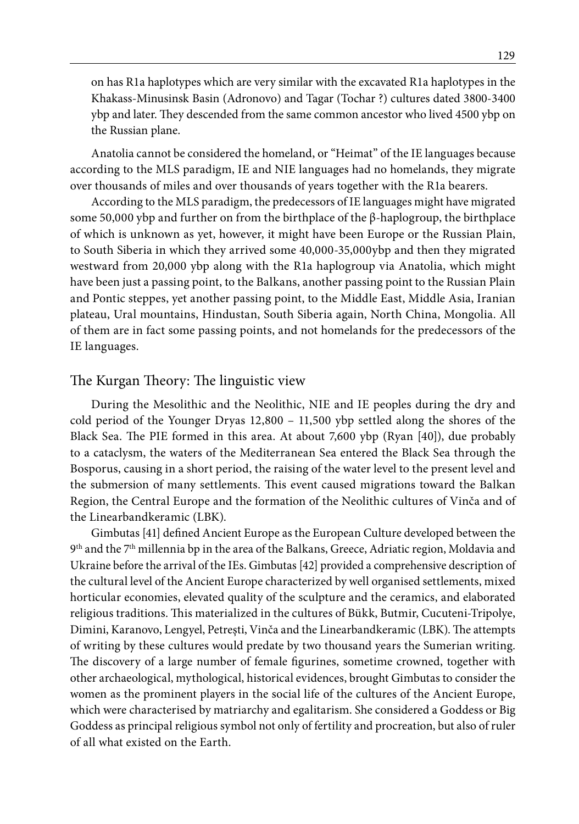on has R1a haplotypes which are very similar with the excavated R1a haplotypes in the Khakass-Minusinsk Basin (Adronovo) and Tagar (Tochar ?) cultures dated 3800-3400 ybp and later. They descended from the same common ancestor who lived 4500 ybp on the Russian plane.

Anatolia cannot be considered the homeland, or "Heimat" of the IE languages because according to the MLS paradigm, IE and NIE languages had no homelands, they migrate over thousands of miles and over thousands of years together with the R1a bearers.

According to the MLS paradigm, the predecessors of IE languages might have migrated some 50,000 ybp and further on from the birthplace of the β-haplogroup, the birthplace of which is unknown as yet, however, it might have been Europe or the Russian Plain, to South Siberia in which they arrived some 40,000-35,000ybp and then they migrated westward from 20,000 ybp along with the R1a haplogroup via Anatolia, which might have been just a passing point, to the Balkans, another passing point to the Russian Plain and Pontic steppes, yet another passing point, to the Middle East, Middle Asia, Iranian plateau, Ural mountains, Hindustan, South Siberia again, North China, Mongolia. All of them are in fact some passing points, and not homelands for the predecessors of the IE languages.

#### The Kurgan Theory: The linguistic view

During the Mesolithic and the Neolithic, NIE and IE peoples during the dry and cold period of the Younger Dryas 12,800 – 11,500 ybp settled along the shores of the Black Sea. The PIE formed in this area. At about 7,600 ybp (Ryan [40]), due probably to a cataclysm, the waters of the Mediterranean Sea entered the Black Sea through the Bosporus, causing in a short period, the raising of the water level to the present level and the submersion of many settlements. This event caused migrations toward the Balkan Region, the Central Europe and the formation of the Neolithic cultures of Vinča and of the Linearbandkeramic (LBK).

Gimbutas [41] defined Ancient Europe as the European Culture developed between the 9th and the 7th millennia bp in the area of the Balkans, Greece, Adriatic region, Moldavia and Ukraine before the arrival of the IEs. Gimbutas [42] provided a comprehensive description of the cultural level of the Ancient Europe characterized by well organised settlements, mixed horticular economies, elevated quality of the sculpture and the ceramics, and elaborated religious traditions. This materialized in the cultures of Bükk, Butmir, Cucuteni-Tripolye, Dimini, Karanovo, Lengyel, Petreşti, Vinča and the Linearbandkeramic (LBK). The attempts of writing by these cultures would predate by two thousand years the Sumerian writing. The discovery of a large number of female figurines, sometime crowned, together with other archaeological, mythological, historical evidences, brought Gimbutas to consider the women as the prominent players in the social life of the cultures of the Ancient Europe, which were characterised by matriarchy and egalitarism. She considered a Goddess or Big Goddess as principal religious symbol not only of fertility and procreation, but also of ruler of all what existed on the Earth.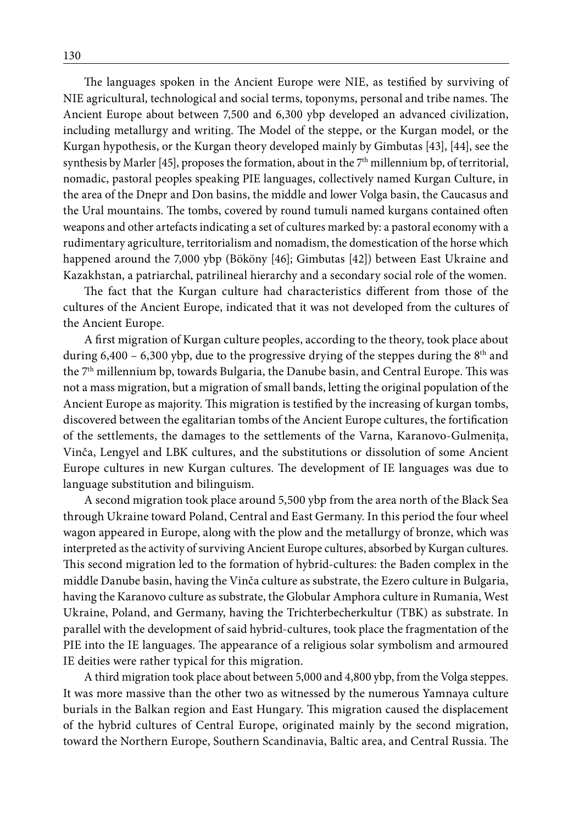The languages spoken in the Ancient Europe were NIE, as testified by surviving of NIE agricultural, technological and social terms, toponyms, personal and tribe names. The Ancient Europe about between 7,500 and 6,300 ybp developed an advanced civilization, including metallurgy and writing. The Model of the steppe, or the Kurgan model, or the Kurgan hypothesis, or the Kurgan theory developed mainly by Gimbutas [43], [44], see the synthesis by Marler [45], proposes the formation, about in the 7<sup>th</sup> millennium bp, of territorial, nomadic, pastoral peoples speaking PIE languages, collectively named Kurgan Culture, in the area of the Dnepr and Don basins, the middle and lower Volga basin, the Caucasus and the Ural mountains. The tombs, covered by round tumuli named kurgans contained often weapons and other artefacts indicating a set of cultures marked by: a pastoral economy with a rudimentary agriculture, territorialism and nomadism, the domestication of the horse which happened around the 7,000 ybp (Bököny [46]; Gimbutas [42]) between East Ukraine and Kazakhstan, a patriarchal, patrilineal hierarchy and a secondary social role of the women.

The fact that the Kurgan culture had characteristics different from those of the cultures of the Ancient Europe, indicated that it was not developed from the cultures of the Ancient Europe.

A first migration of Kurgan culture peoples, according to the theory, took place about during 6,400 – 6,300 ybp, due to the progressive drying of the steppes during the  $8<sup>th</sup>$  and the 7th millennium bp, towards Bulgaria, the Danube basin, and Central Europe. This was not a mass migration, but a migration of small bands, letting the original population of the Ancient Europe as majority. This migration is testified by the increasing of kurgan tombs, discovered between the egalitarian tombs of the Ancient Europe cultures, the fortification of the settlements, the damages to the settlements of the Varna, Karanovo-Gulmeniţa, Vinča, Lengyel and LBK cultures, and the substitutions or dissolution of some Ancient Europe cultures in new Kurgan cultures. The development of IE languages was due to language substitution and bilinguism.

A second migration took place around 5,500 ybp from the area north of the Black Sea through Ukraine toward Poland, Central and East Germany. In this period the four wheel wagon appeared in Europe, along with the plow and the metallurgy of bronze, which was interpreted as the activity of surviving Ancient Europe cultures, absorbed by Kurgan cultures. This second migration led to the formation of hybrid-cultures: the Baden complex in the middle Danube basin, having the Vinča culture as substrate, the Ezero culture in Bulgaria, having the Karanovo culture as substrate, the Globular Amphora culture in Rumania, West Ukraine, Poland, and Germany, having the Trichterbecherkultur (TBK) as substrate. In parallel with the development of said hybrid-cultures, took place the fragmentation of the PIE into the IE languages. The appearance of a religious solar symbolism and armoured IE deities were rather typical for this migration.

A third migration took place about between 5,000 and 4,800 ybp, from the Volga steppes. It was more massive than the other two as witnessed by the numerous Yamnaya culture burials in the Balkan region and East Hungary. This migration caused the displacement of the hybrid cultures of Central Europe, originated mainly by the second migration, toward the Northern Europe, Southern Scandinavia, Baltic area, and Central Russia. The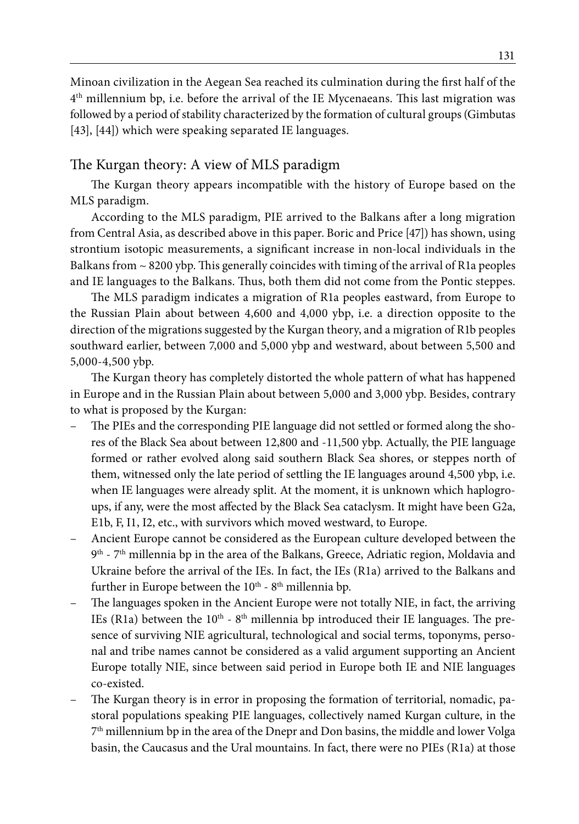Minoan civilization in the Aegean Sea reached its culmination during the first half of the 4th millennium bp, i.e. before the arrival of the IE Mycenaeans. This last migration was followed by a period of stability characterized by the formation of cultural groups (Gimbutas [43], [44]) which were speaking separated IE languages.

#### The Kurgan theory: A view of MLS paradigm

The Kurgan theory appears incompatible with the history of Europe based on the MLS paradigm.

According to the MLS paradigm, PIE arrived to the Balkans after a long migration from Central Asia, as described above in this paper. Boric and Price [47]) has shown, using strontium isotopic measurements, a significant increase in non-local individuals in the Balkans from  $\sim$  8200 ybp. This generally coincides with timing of the arrival of R1a peoples and IE languages to the Balkans. Thus, both them did not come from the Pontic steppes.

The MLS paradigm indicates a migration of R1a peoples eastward, from Europe to the Russian Plain about between 4,600 and 4,000 ybp, i.e. a direction opposite to the direction of the migrations suggested by the Kurgan theory, and a migration of R1b peoples southward earlier, between 7,000 and 5,000 ybp and westward, about between 5,500 and 5,000-4,500 ybp.

The Kurgan theory has completely distorted the whole pattern of what has happened in Europe and in the Russian Plain about between 5,000 and 3,000 ybp. Besides, contrary to what is proposed by the Kurgan:

- The PIEs and the corresponding PIE language did not settled or formed along the shores of the Black Sea about between 12,800 and -11,500 ybp. Actually, the PIE language formed or rather evolved along said southern Black Sea shores, or steppes north of them, witnessed only the late period of settling the IE languages around 4,500 ybp, i.e. when IE languages were already split. At the moment, it is unknown which haplogroups, if any, were the most affected by the Black Sea cataclysm. It might have been G2a, E1b, F, I1, I2, etc., with survivors which moved westward, to Europe.
- Ancient Europe cannot be considered as the European culture developed between the 9th - 7th millennia bp in the area of the Balkans, Greece, Adriatic region, Moldavia and Ukraine before the arrival of the IEs. In fact, the IEs (R1a) arrived to the Balkans and further in Europe between the  $10^{th}$  -  $8^{th}$  millennia bp.
- The languages spoken in the Ancient Europe were not totally NIE, in fact, the arriving IEs (R1a) between the  $10<sup>th</sup> - 8<sup>th</sup>$  millennia bp introduced their IE languages. The presence of surviving NIE agricultural, technological and social terms, toponyms, personal and tribe names cannot be considered as a valid argument supporting an Ancient Europe totally NIE, since between said period in Europe both IE and NIE languages co-existed.
- The Kurgan theory is in error in proposing the formation of territorial, nomadic, pastoral populations speaking PIE languages, collectively named Kurgan culture, in the  $7<sup>th</sup>$  millennium bp in the area of the Dnepr and Don basins, the middle and lower Volga basin, the Caucasus and the Ural mountains. In fact, there were no PIEs (R1a) at those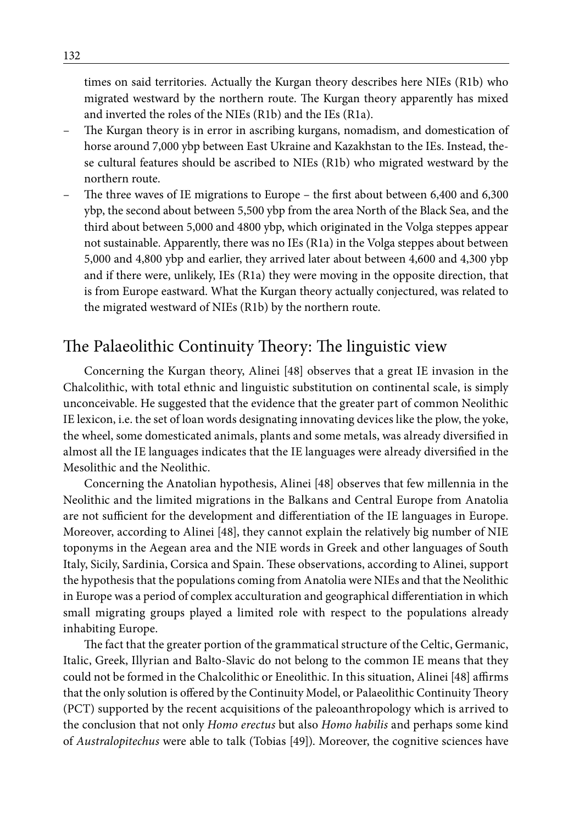times on said territories. Actually the Kurgan theory describes here NIEs (R1b) who migrated westward by the northern route. The Kurgan theory apparently has mixed and inverted the roles of the NIEs (R1b) and the IEs (R1a).

- The Kurgan theory is in error in ascribing kurgans, nomadism, and domestication of horse around 7,000 ybp between East Ukraine and Kazakhstan to the IEs. Instead, these cultural features should be ascribed to NIEs (R1b) who migrated westward by the northern route.
- The three waves of IE migrations to Europe the first about between 6,400 and 6,300 ybp, the second about between 5,500 ybp from the area North of the Black Sea, and the third about between 5,000 and 4800 ybp, which originated in the Volga steppes appear not sustainable. Apparently, there was no IEs (R1a) in the Volga steppes about between 5,000 and 4,800 ybp and earlier, they arrived later about between 4,600 and 4,300 ybp and if there were, unlikely, IEs (R1a) they were moving in the opposite direction, that is from Europe eastward. What the Kurgan theory actually conjectured, was related to the migrated westward of NIEs (R1b) by the northern route.

### The Palaeolithic Continuity Theory: The linguistic view

Concerning the Kurgan theory, Alinei [48] observes that a great IE invasion in the Chalcolithic, with total ethnic and linguistic substitution on continental scale, is simply unconceivable. He suggested that the evidence that the greater part of common Neolithic IE lexicon, i.e. the set of loan words designating innovating devices like the plow, the yoke, the wheel, some domesticated animals, plants and some metals, was already diversified in almost all the IE languages indicates that the IE languages were already diversified in the Mesolithic and the Neolithic.

Concerning the Anatolian hypothesis, Alinei [48] observes that few millennia in the Neolithic and the limited migrations in the Balkans and Central Europe from Anatolia are not sufficient for the development and differentiation of the IE languages in Europe. Moreover, according to Alinei [48], they cannot explain the relatively big number of NIE toponyms in the Aegean area and the NIE words in Greek and other languages of South Italy, Sicily, Sardinia, Corsica and Spain. These observations, according to Alinei, support the hypothesis that the populations coming from Anatolia were NIEs and that the Neolithic in Europe was a period of complex acculturation and geographical differentiation in which small migrating groups played a limited role with respect to the populations already inhabiting Europe.

The fact that the greater portion of the grammatical structure of the Celtic, Germanic, Italic, Greek, Illyrian and Balto-Slavic do not belong to the common IE means that they could not be formed in the Chalcolithic or Eneolithic. In this situation, Alinei [48] affirms that the only solution is offered by the Continuity Model, or Palaeolithic Continuity Theory (PCT) supported by the recent acquisitions of the paleoanthropology which is arrived to the conclusion that not only *Homo erectus* but also *Homo habilis* and perhaps some kind of *Australopitechus* were able to talk (Tobias [49]). Moreover, the cognitive sciences have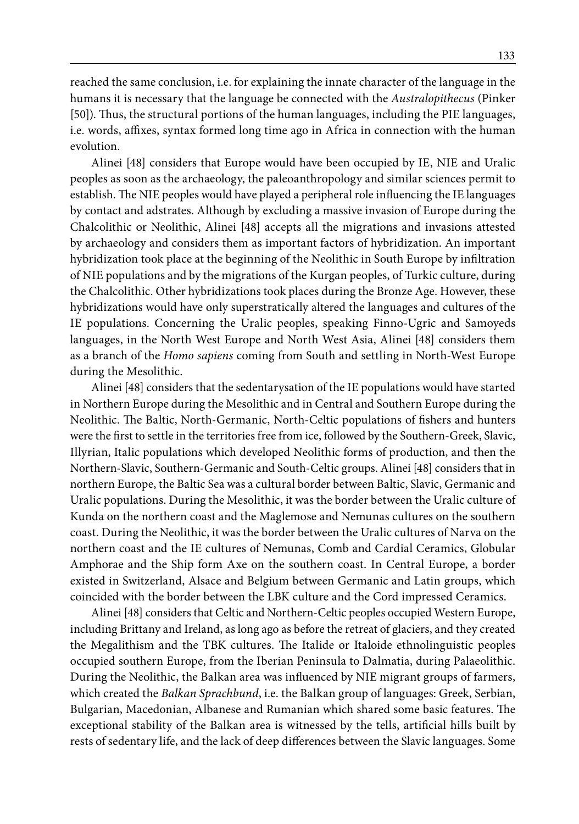reached the same conclusion, i.e. for explaining the innate character of the language in the humans it is necessary that the language be connected with the *Australopithecus* (Pinker [50]). Thus, the structural portions of the human languages, including the PIE languages, i.e. words, affixes, syntax formed long time ago in Africa in connection with the human evolution.

Alinei [48] considers that Europe would have been occupied by IE, NIE and Uralic peoples as soon as the archaeology, the paleoanthropology and similar sciences permit to establish. The NIE peoples would have played a peripheral role influencing the IE languages by contact and adstrates. Although by excluding a massive invasion of Europe during the Chalcolithic or Neolithic, Alinei [48] accepts all the migrations and invasions attested by archaeology and considers them as important factors of hybridization. An important hybridization took place at the beginning of the Neolithic in South Europe by infiltration of NIE populations and by the migrations of the Kurgan peoples, of Turkic culture, during the Chalcolithic. Other hybridizations took places during the Bronze Age. However, these hybridizations would have only superstratically altered the languages and cultures of the IE populations. Concerning the Uralic peoples, speaking Finno-Ugric and Samoyeds languages, in the North West Europe and North West Asia, Alinei [48] considers them as a branch of the *Homo sapiens* coming from South and settling in North-West Europe during the Mesolithic.

Alinei [48] considers that the sedentarysation of the IE populations would have started in Northern Europe during the Mesolithic and in Central and Southern Europe during the Neolithic. The Baltic, North-Germanic, North-Celtic populations of fishers and hunters were the first to settle in the territories free from ice, followed by the Southern-Greek, Slavic, Illyrian, Italic populations which developed Neolithic forms of production, and then the Northern-Slavic, Southern-Germanic and South-Celtic groups. Alinei [48] considers that in northern Europe, the Baltic Sea was a cultural border between Baltic, Slavic, Germanic and Uralic populations. During the Mesolithic, it was the border between the Uralic culture of Kunda on the northern coast and the Maglemose and Nemunas cultures on the southern coast. During the Neolithic, it was the border between the Uralic cultures of Narva on the northern coast and the IE cultures of Nemunas, Comb and Cardial Ceramics, Globular Amphorae and the Ship form Axe on the southern coast. In Central Europe, a border existed in Switzerland, Alsace and Belgium between Germanic and Latin groups, which coincided with the border between the LBK culture and the Cord impressed Ceramics.

Alinei [48] considers that Celtic and Northern-Celtic peoples occupied Western Europe, including Brittany and Ireland, as long ago as before the retreat of glaciers, and they created the Megalithism and the TBK cultures. The Italide or Italoide ethnolinguistic peoples occupied southern Europe, from the Iberian Peninsula to Dalmatia, during Palaeolithic. During the Neolithic, the Balkan area was influenced by NIE migrant groups of farmers, which created the *Balkan Sprachbund*, i.e. the Balkan group of languages: Greek, Serbian, Bulgarian, Macedonian, Albanese and Rumanian which shared some basic features. The exceptional stability of the Balkan area is witnessed by the tells, artificial hills built by rests of sedentary life, and the lack of deep differences between the Slavic languages. Some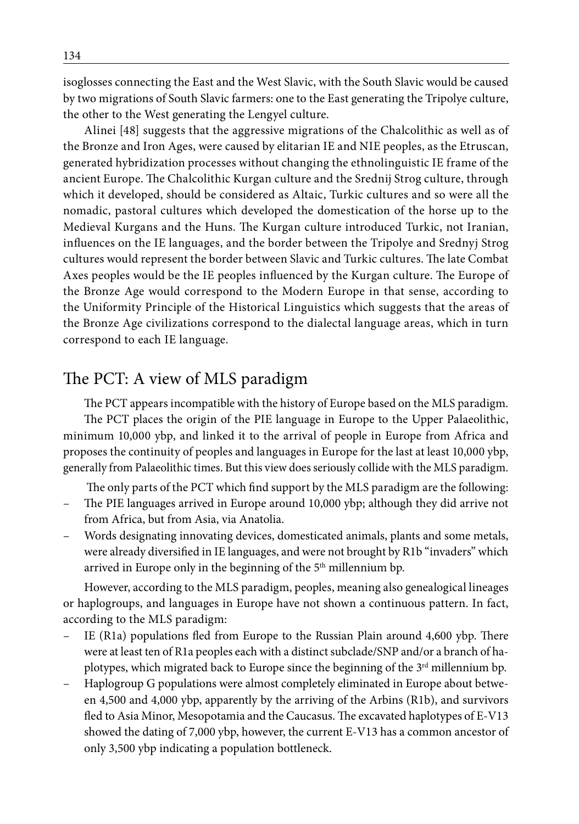isoglosses connecting the East and the West Slavic, with the South Slavic would be caused by two migrations of South Slavic farmers: one to the East generating the Tripolye culture, the other to the West generating the Lengyel culture.

Alinei [48] suggests that the aggressive migrations of the Chalcolithic as well as of the Bronze and Iron Ages, were caused by elitarian IE and NIE peoples, as the Etruscan, generated hybridization processes without changing the ethnolinguistic IE frame of the ancient Europe. The Chalcolithic Kurgan culture and the Srednij Strog culture, through which it developed, should be considered as Altaic, Turkic cultures and so were all the nomadic, pastoral cultures which developed the domestication of the horse up to the Medieval Kurgans and the Huns. The Kurgan culture introduced Turkic, not Iranian, influences on the IE languages, and the border between the Tripolye and Srednyj Strog cultures would represent the border between Slavic and Turkic cultures. The late Combat Axes peoples would be the IE peoples influenced by the Kurgan culture. The Europe of the Bronze Age would correspond to the Modern Europe in that sense, according to the Uniformity Principle of the Historical Linguistics which suggests that the areas of the Bronze Age civilizations correspond to the dialectal language areas, which in turn correspond to each IE language.

### The PCT: A view of MLS paradigm

The PCT appears incompatible with the history of Europe based on the MLS paradigm. The PCT places the origin of the PIE language in Europe to the Upper Palaeolithic, minimum 10,000 ybp, and linked it to the arrival of people in Europe from Africa and proposes the continuity of peoples and languages in Europe for the last at least 10,000 ybp, generally from Palaeolithic times. But this view does seriously collide with the MLS paradigm.

The only parts of the PCT which find support by the MLS paradigm are the following:

- The PIE languages arrived in Europe around 10,000 ybp; although they did arrive not from Africa, but from Asia, via Anatolia.
- Words designating innovating devices, domesticated animals, plants and some metals, were already diversified in IE languages, and were not brought by R1b "invaders" which arrived in Europe only in the beginning of the 5<sup>th</sup> millennium bp.

However, according to the MLS paradigm, peoples, meaning also genealogical lineages or haplogroups, and languages in Europe have not shown a continuous pattern. In fact, according to the MLS paradigm:

- IE (R1a) populations fled from Europe to the Russian Plain around 4,600 ybp. There were at least ten of R1a peoples each with a distinct subclade/SNP and/or a branch of haplotypes, which migrated back to Europe since the beginning of the 3<sup>rd</sup> millennium bp.
- Haplogroup G populations were almost completely eliminated in Europe about between 4,500 and 4,000 ybp, apparently by the arriving of the Arbins (R1b), and survivors fled to Asia Minor, Mesopotamia and the Caucasus. The excavated haplotypes of E-V13 showed the dating of 7,000 ybp, however, the current E-V13 has a common ancestor of only 3,500 ybp indicating a population bottleneck.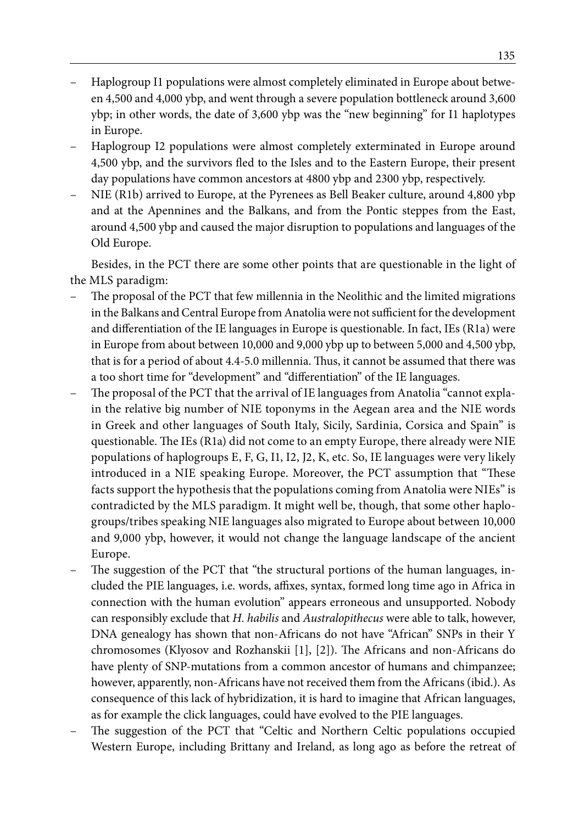- Haplogroup I1 populations were almost completely eliminated in Europe about between 4,500 and 4,000 ybp, and went through a severe population bottleneck around 3,600 ybp; in other words, the date of 3,600 ybp was the "new beginning" for I1 haplotypes in Europe.
- Haplogroup I2 populations were almost completely exterminated in Europe around 4,500 ybp, and the survivors fled to the Isles and to the Eastern Europe, their present day populations have common ancestors at 4800 ybp and 2300 ybp, respectively.
- NIE (R1b) arrived to Europe, at the Pyrenees as Bell Beaker culture, around 4,800 ybp and at the Apennines and the Balkans, and from the Pontic steppes from the East, around 4,500 ybp and caused the major disruption to populations and languages of the Old Europe.

Besides, in the PCT there are some other points that are questionable in the light of the MLS paradigm:

- The proposal of the PCT that few millennia in the Neolithic and the limited migrations in the Balkans and Central Europe from Anatolia were not sufficient for the development and differentiation of the IE languages in Europe is questionable. In fact, IEs (R1a) were in Europe from about between 10,000 and 9,000 ybp up to between 5,000 and 4,500 ybp, that is for a period of about 4.4-5.0 millennia. Thus, it cannot be assumed that there was a too short time for "development" and "differentiation" of the IE languages.
- The proposal of the PCT that the arrival of IE languages from Anatolia "cannot explain the relative big number of NIE toponyms in the Aegean area and the NIE words in Greek and other languages of South Italy, Sicily, Sardinia, Corsica and Spain" is questionable. The IEs (R1a) did not come to an empty Europe, there already were NIE populations of haplogroups E, F, G, I1, I2, J2, K, etc. So, IE languages were very likely introduced in a NIE speaking Europe. Moreover, the PCT assumption that "These facts support the hypothesis that the populations coming from Anatolia were NIEs" is contradicted by the MLS paradigm. It might well be, though, that some other haplogroups/tribes speaking NIE languages also migrated to Europe about between 10,000 and 9,000 ybp, however, it would not change the language landscape of the ancient Europe.
- The suggestion of the PCT that "the structural portions of the human languages, included the PIE languages, i.e. words, affixes, syntax, formed long time ago in Africa in connection with the human evolution" appears erroneous and unsupported. Nobody can responsibly exclude that *H. habilis* and *Australopithecus* were able to talk, however, DNA genealogy has shown that non-Africans do not have "African" SNPs in their Y chromosomes (Klyosov and Rozhanskii [1], [2]). The Africans and non-Africans do have plenty of SNP-mutations from a common ancestor of humans and chimpanzee; however, apparently, non-Africans have not received them from the Africans (ibid.). As consequence of this lack of hybridization, it is hard to imagine that African languages, as for example the click languages, could have evolved to the PIE languages.
- The suggestion of the PCT that "Celtic and Northern Celtic populations occupied Western Europe, including Brittany and Ireland, as long ago as before the retreat of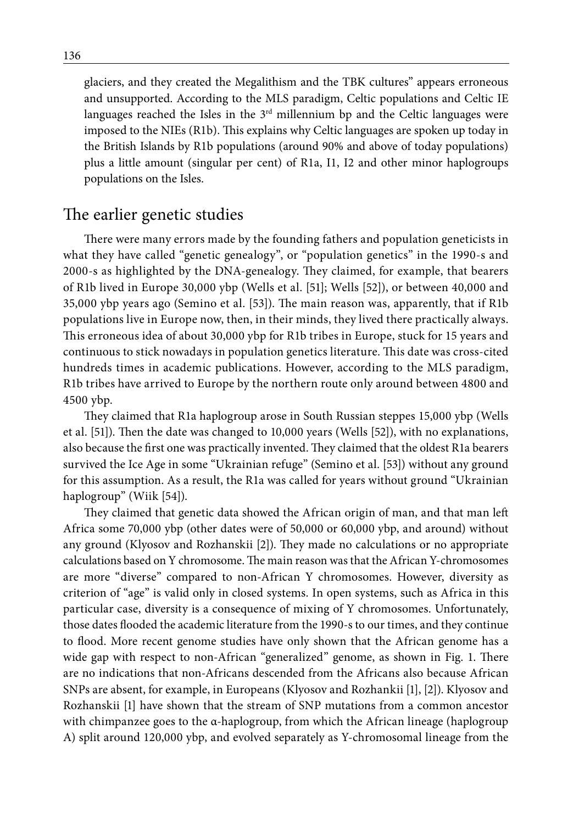glaciers, and they created the Megalithism and the TBK cultures" appears erroneous and unsupported. According to the MLS paradigm, Celtic populations and Celtic IE languages reached the Isles in the  $3<sup>rd</sup>$  millennium bp and the Celtic languages were imposed to the NIEs (R1b). This explains why Celtic languages are spoken up today in the British Islands by R1b populations (around 90% and above of today populations) plus a little amount (singular per cent) of R1a, I1, I2 and other minor haplogroups populations on the Isles.

### The earlier genetic studies

There were many errors made by the founding fathers and population geneticists in what they have called "genetic genealogy", or "population genetics" in the 1990-s and 2000-s as highlighted by the DNA-genealogy. They claimed, for example, that bearers of R1b lived in Europe 30,000 ybp (Wells et al. [51]; Wells [52]), or between 40,000 and 35,000 ybp years ago (Semino et al. [53]). The main reason was, apparently, that if R1b populations live in Europe now, then, in their minds, they lived there practically always. This erroneous idea of about 30,000 ybp for R1b tribes in Europe, stuck for 15 years and continuous to stick nowadays in population genetics literature. This date was cross-cited hundreds times in academic publications. However, according to the MLS paradigm, R1b tribes have arrived to Europe by the northern route only around between 4800 and 4500 ybp.

They claimed that R1a haplogroup arose in South Russian steppes 15,000 ybp (Wells et al. [51]). Then the date was changed to 10,000 years (Wells [52]), with no explanations, also because the first one was practically invented. They claimed that the oldest R1a bearers survived the Ice Age in some "Ukrainian refuge" (Semino et al. [53]) without any ground for this assumption. As a result, the R1a was called for years without ground "Ukrainian haplogroup" (Wiik [54]).

They claimed that genetic data showed the African origin of man, and that man left Africa some 70,000 ybp (other dates were of 50,000 or 60,000 ybp, and around) without any ground (Klyosov and Rozhanskii [2]). They made no calculations or no appropriate calculations based on Y chromosome. The main reason was that the African Y-chromosomes are more "diverse" compared to non-African Y chromosomes. However, diversity as criterion of "age" is valid only in closed systems. In open systems, such as Africa in this particular case, diversity is a consequence of mixing of Y chromosomes. Unfortunately, those dates flooded the academic literature from the 1990-s to our times, and they continue to flood. More recent genome studies have only shown that the African genome has a wide gap with respect to non-African "generalized" genome, as shown in Fig. 1. There are no indications that non-Africans descended from the Africans also because African SNPs are absent, for example, in Europeans (Klyosov and Rozhankii [1], [2]). Klyosov and Rozhanskii [1] have shown that the stream of SNP mutations from a common ancestor with chimpanzee goes to the α-haplogroup, from which the African lineage (haplogroup A) split around 120,000 ybp, and evolved separately as Y-chromosomal lineage from the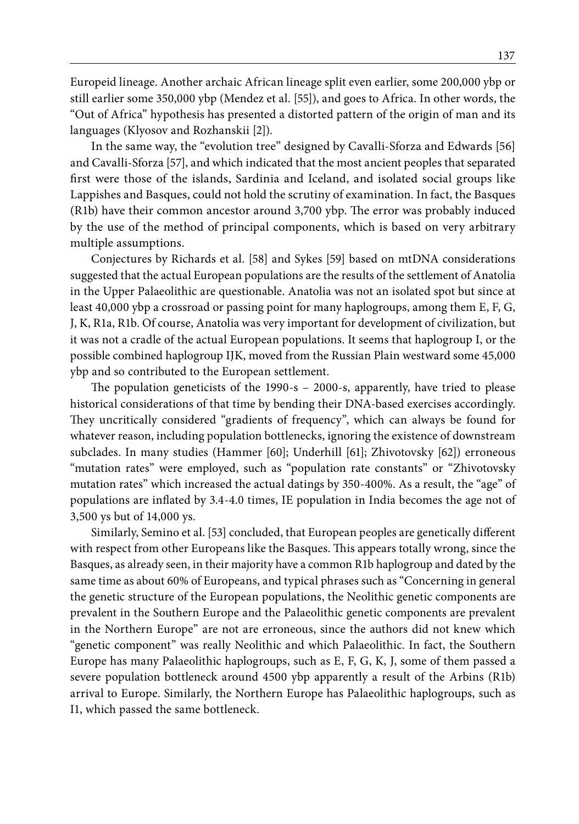Europeid lineage. Another archaic African lineage split even earlier, some 200,000 ybp or still earlier some 350,000 ybp (Mendez et al. [55]), and goes to Africa. In other words, the "Out of Africa" hypothesis has presented a distorted pattern of the origin of man and its languages (Klyosov and Rozhanskii [2]).

In the same way, the "evolution tree" designed by Cavalli-Sforza and Edwards [56] and Cavalli-Sforza [57], and which indicated that the most ancient peoples that separated first were those of the islands, Sardinia and Iceland, and isolated social groups like Lappishes and Basques, could not hold the scrutiny of examination. In fact, the Basques (R1b) have their common ancestor around 3,700 ybp. The error was probably induced by the use of the method of principal components, which is based on very arbitrary multiple assumptions.

Conjectures by Richards et al. [58] and Sykes [59] based on mtDNA considerations suggested that the actual European populations are the results of the settlement of Anatolia in the Upper Palaeolithic are questionable. Anatolia was not an isolated spot but since at least 40,000 ybp a crossroad or passing point for many haplogroups, among them E, F, G, J, K, R1a, R1b. Of course, Anatolia was very important for development of civilization, but it was not a cradle of the actual European populations. It seems that haplogroup I, or the possible combined haplogroup IJK, moved from the Russian Plain westward some 45,000 ybp and so contributed to the European settlement.

The population geneticists of the 1990-s – 2000-s, apparently, have tried to please historical considerations of that time by bending their DNA-based exercises accordingly. They uncritically considered "gradients of frequency", which can always be found for whatever reason, including population bottlenecks, ignoring the existence of downstream subclades. In many studies (Hammer [60]; Underhill [61]; Zhivotovsky [62]) erroneous "mutation rates" were employed, such as "population rate constants" or "Zhivotovsky mutation rates" which increased the actual datings by 350-400%. As a result, the "age" of populations are inflated by 3.4-4.0 times, IE population in India becomes the age not of 3,500 ys but of 14,000 ys.

Similarly, Semino et al. [53] concluded, that European peoples are genetically different with respect from other Europeans like the Basques. This appears totally wrong, since the Basques, as already seen, in their majority have a common R1b haplogroup and dated by the same time as about 60% of Europeans, and typical phrases such as "Concerning in general the genetic structure of the European populations, the Neolithic genetic components are prevalent in the Southern Europe and the Palaeolithic genetic components are prevalent in the Northern Europe" are not are erroneous, since the authors did not knew which "genetic component" was really Neolithic and which Palaeolithic. In fact, the Southern Europe has many Palaeolithic haplogroups, such as E, F, G, K, J, some of them passed a severe population bottleneck around 4500 ybp apparently a result of the Arbins (R1b) arrival to Europe. Similarly, the Northern Europe has Palaeolithic haplogroups, such as I1, which passed the same bottleneck.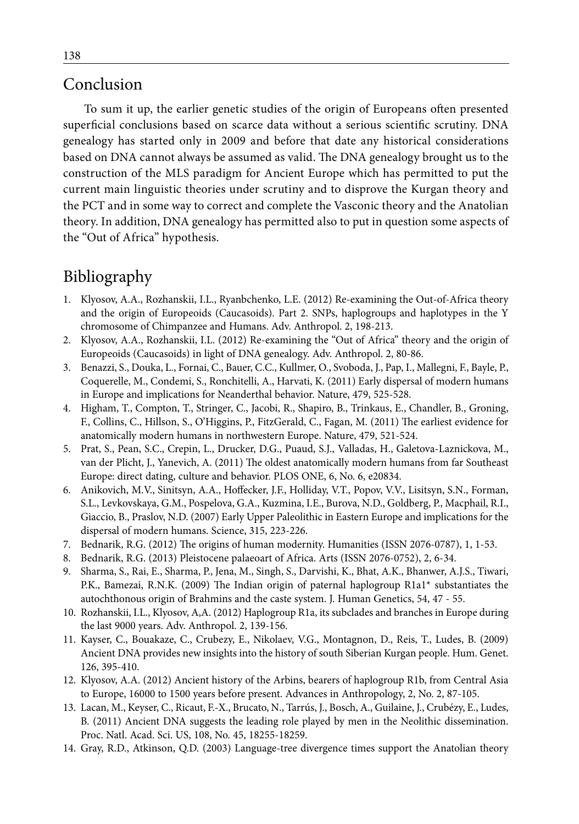### Conclusion

To sum it up, the earlier genetic studies of the origin of Europeans often presented superficial conclusions based on scarce data without a serious scientific scrutiny. DNA genealogy has started only in 2009 and before that date any historical considerations based on DNA cannot always be assumed as valid. The DNA genealogy brought us to the construction of the MLS paradigm for Ancient Europe which has permitted to put the current main linguistic theories under scrutiny and to disprove the Kurgan theory and the PCT and in some way to correct and complete the Vasconic theory and the Anatolian theory. In addition, DNA genealogy has permitted also to put in question some aspects of the "Out of Africa" hypothesis.

### Bibliography

- 1. Klyosov, A.A., Rozhanskii, I.L., Ryanbchenko, L.E. (2012) Re-examining the Out-of-Africa theory and the origin of Europeoids (Caucasoids). Part 2. SNPs, haplogroups and haplotypes in the Y chromosome of Chimpanzee and Humans. Adv. Anthropol. 2, 198-213.
- 2. Klyosov, A.A., Rozhanskii, I.L. (2012) Re-examining the "Out of Africa" theory and the origin of Europeoids (Caucasoids) in light of DNA genealogy. Adv. Anthropol. 2, 80-86.
- 3. Benazzi, S., Douka, L., Fornai, C., Bauer, C.C., Kullmer, O., Svoboda, J., Pap, I., Mallegni, F., Bayle, P., Coquerelle, M., Condemi, S., Ronchitelli, A., Harvati, K. (2011) Early dispersal of modern humans in Europe and implications for Neanderthal behavior. Nature, 479, 525-528.
- 4. Higham, T., Compton, T., Stringer, C., Jacobi, R., Shapiro, B., Trinkaus, E., Chandler, B., Groning, F., Collins, C., Hillson, S., O'Higgins, P., FitzGerald, C., Fagan, M. (2011) The earliest evidence for anatomically modern humans in northwestern Europe. Nature, 479, 521-524.
- 5. Prat, S., Pean, S.C., Crepin, L., Drucker, D.G., Puaud, S.J., Valladas, H., Galetova-Laznickova, M., van der Plicht, J., Yanevich, A. (2011) The oldest anatomically modern humans from far Southeast Europe: direct dating, culture and behavior. PLOS ONE, 6, No. 6, e20834.
- 6. Anikovich, M.V., Sinitsyn, A.A., Hoffecker, J.F., Holliday, V.T., Popov, V.V., Lisitsyn, S.N., Forman, S.L., Levkovskaya, G.M., Pospelova, G.A., Kuzmina, I.E., Burova, N.D., Goldberg, P., Macphail, R.I., Giaccio, B., Praslov, N.D. (2007) Early Upper Paleolithic in Eastern Europe and implications for the dispersal of modern humans. Science, 315, 223-226.
- 7. Bednarik, R.G. (2012) The origins of human modernity. Humanities (ISSN 2076-0787), 1, 1-53.
- 8. Bednarik, R.G. (2013) Pleistocene palaeoart of Africa. Arts (ISSN 2076-0752), 2, 6-34.
- 9. Sharma, S., Rai, E., Sharma, P., Jena, M., Singh, S., Darvishi, K., Bhat, A.K., Bhanwer, A.J.S., Tiwari, P.K., Bamezai, R.N.K. (2009) The Indian origin of paternal haplogroup R1a1\* substantiates the autochthonous origin of Brahmins and the caste system. J. Human Genetics, 54, 47 - 55.
- 10. Rozhanskii, I.L., Klyosov, A,A. (2012) Haplogroup R1a, its subclades and branches in Europe during the last 9000 years. Adv. Anthropol. 2, 139-156.
- 11. Kayser, C., Bouakaze, C., Crubezy, E., Nikolaev, V.G., Montagnon, D., Reis, T., Ludes, B. (2009) Ancient DNA provides new insights into the history of south Siberian Kurgan people. Hum. Genet. 126, 395-410.
- 12. Klyosov, A.A. (2012) Ancient history of the Arbins, bearers of haplogroup R1b, from Central Asia to Europe, 16000 to 1500 years before present. Advances in Anthropology, 2, No. 2, 87-105.
- 13. Lacan, M., Keyser, C., Ricaut, F.-X., Brucato, N., Tarrús, J., Bosch, A., Guilaine, J., Crubézy, E., Ludes, B. (2011) Ancient DNA suggests the leading role played by men in the Neolithic dissemination. Proc. Natl. Acad. Sci. US, 108, No. 45, 18255-18259.
- 14. Gray, R.D., Atkinson, Q.D. (2003) Language-tree divergence times support the Anatolian theory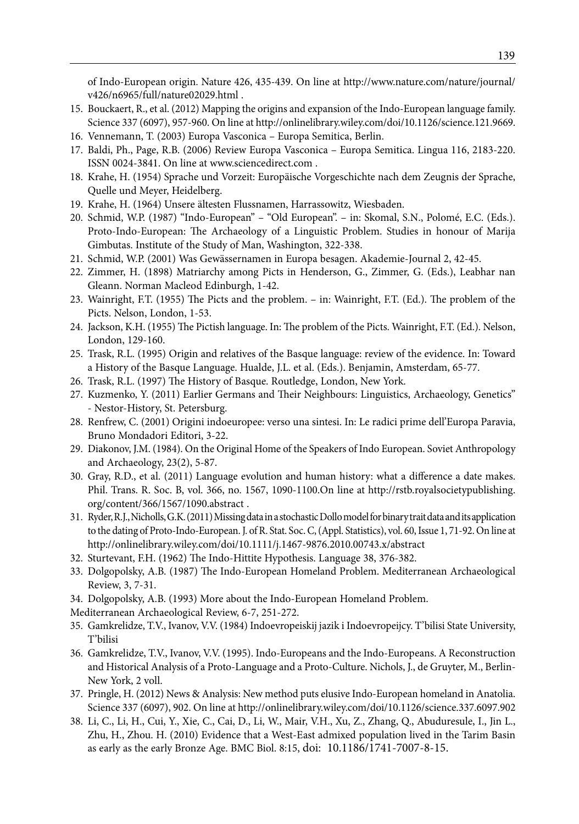of Indo-European origin. Nature 426, 435-439. On line at http://www.nature.com/nature/journal/ v426/n6965/full/nature02029.html .

- 15. Bouckaert, R., et al. (2012) Mapping the origins and expansion of the Indo-European language family. Science 337 (6097), 957-960. On line at http://onlinelibrary.wiley.com/doi/10.1126/science.121.9669.
- 16. Vennemann, T. (2003) Europa Vasconica Europa Semitica, Berlin.
- 17. Baldi, Ph., Page, R.B. (2006) Review Europa Vasconica Europa Semitica. Lingua 116, 2183-220. ISSN 0024-3841. On line at www.sciencedirect.com .
- 18. Krahe, H. (1954) Sprache und Vorzeit: Europäische Vorgeschichte nach dem Zeugnis der Sprache, Quelle und Meyer, Heidelberg.
- 19. Krahe, H. (1964) Unsere ältesten Flussnamen, Harrassowitz, Wiesbaden.
- 20. Schmid, W.P. (1987) "Indo-European" "Old European". in: Skomal, S.N., Polomé, E.C. (Eds.). Proto-Indo-European: The Archaeology of a Linguistic Problem. Studies in honour of Marija Gimbutas. Institute of the Study of Man, Washington, 322-338.
- 21. Schmid, W.P. (2001) Was Gewässernamen in Europa besagen. Akademie-Journal 2, 42-45.
- 22. Zimmer, H. (1898) Matriarchy among Picts in Henderson, G., Zimmer, G. (Eds.), Leabhar nan Gleann. Norman Macleod Edinburgh, 1-42.
- 23. Wainright, F.T. (1955) The Picts and the problem. in: Wainright, F.T. (Ed.). The problem of the Picts. Nelson, London, 1-53.
- 24. Jackson, K.H. (1955) The Pictish language. In: The problem of the Picts. Wainright, F.T. (Ed.). Nelson, London, 129-160.
- 25. Trask, R.L. (1995) Origin and relatives of the Basque language: review of the evidence. In: Toward a History of the Basque Language. Hualde, J.L. et al. (Eds.). Benjamin, Amsterdam, 65-77.
- 26. Trask, R.L. (1997) The History of Basque. Routledge, London, New York.
- 27. Kuzmenko, Y. (2011) Earlier Germans and Their Neighbours: Linguistics, Archaeology, Genetics" - Nestor-History, St. Petersburg.
- 28. Renfrew, C. (2001) Origini indoeuropee: verso una sintesi. In: Le radici prime dell'Europa Paravia, Bruno Mondadori Editori, 3-22.
- 29. Diakonov, J.M. (1984). On the Original Home of the Speakers of Indo European. Soviet Anthropology and Archaeology, 23(2), 5-87.
- 30. Gray, R.D., et al. (2011) Language evolution and human history: what a difference a date makes. Phil. Trans. R. Soc. B, vol. 366, no. 1567, 1090-1100.On line at http://rstb.royalsocietypublishing. org/content/366/1567/1090.abstract .
- 31. Ryder, R.J., Nicholls, G.K. (2011) Missing data in a stochastic Dollo model for binary trait data and its application to the dating of Proto-Indo-European. J. of R. Stat. Soc. C, (Appl. Statistics), vol. 60, Issue 1, 71-92. On line at http://onlinelibrary.wiley.com/doi/10.1111/j.1467-9876.2010.00743.x/abstract
- 32. Sturtevant, F.H. (1962) The Indo-Hittite Hypothesis. Language 38, 376-382.
- 33. Dolgopolsky, A.B. (1987) The Indo-European Homeland Problem. Mediterranean Archaeological Review, 3, 7-31.
- 34. Dolgopolsky, A.B. (1993) More about the Indo-European Homeland Problem.
- Mediterranean Archaeological Review, 6-7, 251-272.
- 35. Gamkrelidze, T.V., Ivanov, V.V. (1984) Indoevropeiskij jazik i Indoevropeijcy. T'bilisi State University, T'bilisi
- 36. Gamkrelidze, T.V., Ivanov, V.V. (1995). Indo-Europeans and the Indo-Europeans. A Reconstruction and Historical Analysis of a Proto-Language and a Proto-Culture. Nichols, J., de Gruyter, M., Berlin-New York, 2 voll.
- 37. Pringle, H. (2012) News & Analysis: New method puts elusive Indo-European homeland in Anatolia. Science 337 (6097), 902. On line at http://onlinelibrary.wiley.com/doi/10.1126/science.337.6097.902
- 38. Li, C., Li, H., Cui, Y., Xie, C., Cai, D., Li, W., Mair, V.H., Xu, Z., Zhang, Q., Abuduresule, I., Jin L., Zhu, H., Zhou. H. (2010) Evidence that a West-East admixed population lived in the Tarim Basin as early as the early Bronze Age. BMC Biol. 8:15, doi: 10.1186/1741-7007-8-15.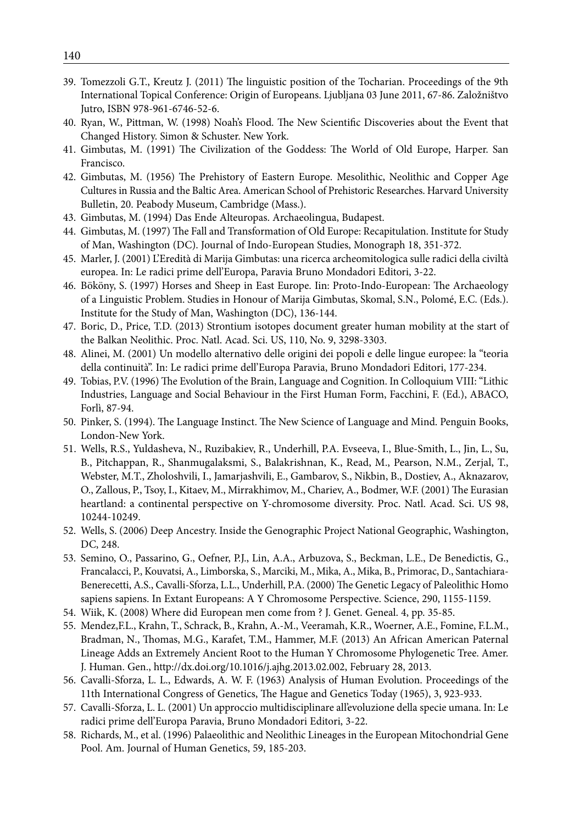- 39. Tomezzoli G.T., Kreutz J. (2011) The linguistic position of the Tocharian. Proceedings of the 9th International Topical Conference: Origin of Europeans. Ljubljana 03 June 2011, 67-86. Založništvo Jutro, ISBN 978-961-6746-52-6.
- 40. Ryan, W., Pittman, W. (1998) Noah's Flood. The New Scientific Discoveries about the Event that Changed History. Simon & Schuster. New York.
- 41. Gimbutas, M. (1991) The Civilization of the Goddess: The World of Old Europe, Harper. San Francisco.
- 42. Gimbutas, M. (1956) The Prehistory of Eastern Europe. Mesolithic, Neolithic and Copper Age Cultures in Russia and the Baltic Area. American School of Prehistoric Researches. Harvard University Bulletin, 20. Peabody Museum, Cambridge (Mass.).
- 43. Gimbutas, M. (1994) Das Ende Alteuropas. Archaeolingua, Budapest.
- 44. Gimbutas, M. (1997) The Fall and Transformation of Old Europe: Recapitulation. Institute for Study of Man, Washington (DC). Journal of Indo-European Studies, Monograph 18, 351-372.
- 45. Marler, J. (2001) L'Eredità di Marija Gimbutas: una ricerca archeomitologica sulle radici della civiltà europea. In: Le radici prime dell'Europa, Paravia Bruno Mondadori Editori, 3-22.
- 46. Bököny, S. (1997) Horses and Sheep in East Europe. Iin: Proto-Indo-European: The Archaeology of a Linguistic Problem. Studies in Honour of Marija Gimbutas, Skomal, S.N., Polomé, E.C. (Eds.). Institute for the Study of Man, Washington (DC), 136-144.
- 47. Boric, D., Price, T.D. (2013) Strontium isotopes document greater human mobility at the start of the Balkan Neolithic. Proc. Natl. Acad. Sci. US, 110, No. 9, 3298-3303.
- 48. Alinei, M. (2001) Un modello alternativo delle origini dei popoli e delle lingue europee: la "teoria della continuità". In: Le radici prime dell'Europa Paravia, Bruno Mondadori Editori, 177-234.
- 49. Tobias, P.V. (1996) The Evolution of the Brain, Language and Cognition. In Colloquium VIII: "Lithic Industries, Language and Social Behaviour in the First Human Form, Facchini, F. (Ed.), ABACO, Forlì, 87-94.
- 50. Pinker, S. (1994). The Language Instinct. The New Science of Language and Mind. Penguin Books, London-New York.
- 51. Wells, R.S., Yuldasheva, N., Ruzibakiev, R., Underhill, P.A. Evseeva, I., Blue-Smith, L., Jin, L., Su, B., Pitchappan, R., Shanmugalaksmi, S., Balakrishnan, K., Read, M., Pearson, N.M., Zerjal, T., Webster, M.T., Zholoshvili, I., Jamarjashvili, E., Gambarov, S., Nikbin, B., Dostiev, A., Aknazarov, O., Zallous, P., Tsoy, I., Kitaev, M., Mirrakhimov, M., Chariev, A., Bodmer, W.F. (2001) The Eurasian heartland: a continental perspective on Y-chromosome diversity. Proc. Natl. Acad. Sci. US 98, 10244-10249.
- 52. Wells, S. (2006) Deep Ancestry. Inside the Genographic Project National Geographic, Washington, DC, 248.
- 53. Semino, O., Passarino, G., Oefner, P.J., Lin, A.A., Arbuzova, S., Beckman, L.E., De Benedictis, G., Francalacci, P., Kouvatsi, A., Limborska, S., Marciki, M., Mika, A., Mika, B., Primorac, D., Santachiara-Benerecetti, A.S., Cavalli-Sforza, L.L., Underhill, P.A. (2000) The Genetic Legacy of Paleolithic Homo sapiens sapiens. In Extant Europeans: A Y Chromosome Perspective. Science, 290, 1155-1159.
- 54. Wiik, K. (2008) Where did European men come from ? J. Genet. Geneal. 4, pp. 35-85.
- 55. Mendez,F.L., Krahn, T., Schrack, B., Krahn, A.-M., Veeramah, K.R., Woerner, A.E., Fomine, F.L.M., Bradman, N., Thomas, M.G., Karafet, T.M., Hammer, M.F. (2013) An African American Paternal Lineage Adds an Extremely Ancient Root to the Human Y Chromosome Phylogenetic Tree. Amer. J. Human. Gen., http://dx.doi.org/10.1016/j.ajhg.2013.02.002, February 28, 2013.
- 56. Cavalli-Sforza, L. L., Edwards, A. W. F. (1963) Analysis of Human Evolution. Proceedings of the 11th International Congress of Genetics, The Hague and Genetics Today (1965), 3, 923-933.
- 57. Cavalli-Sforza, L. L. (2001) Un approccio multidisciplinare all'evoluzione della specie umana. In: Le radici prime dell'Europa Paravia, Bruno Mondadori Editori, 3-22.
- 58. Richards, M., et al. (1996) Palaeolithic and Neolithic Lineages in the European Mitochondrial Gene Pool. Am. Journal of Human Genetics, 59, 185-203.